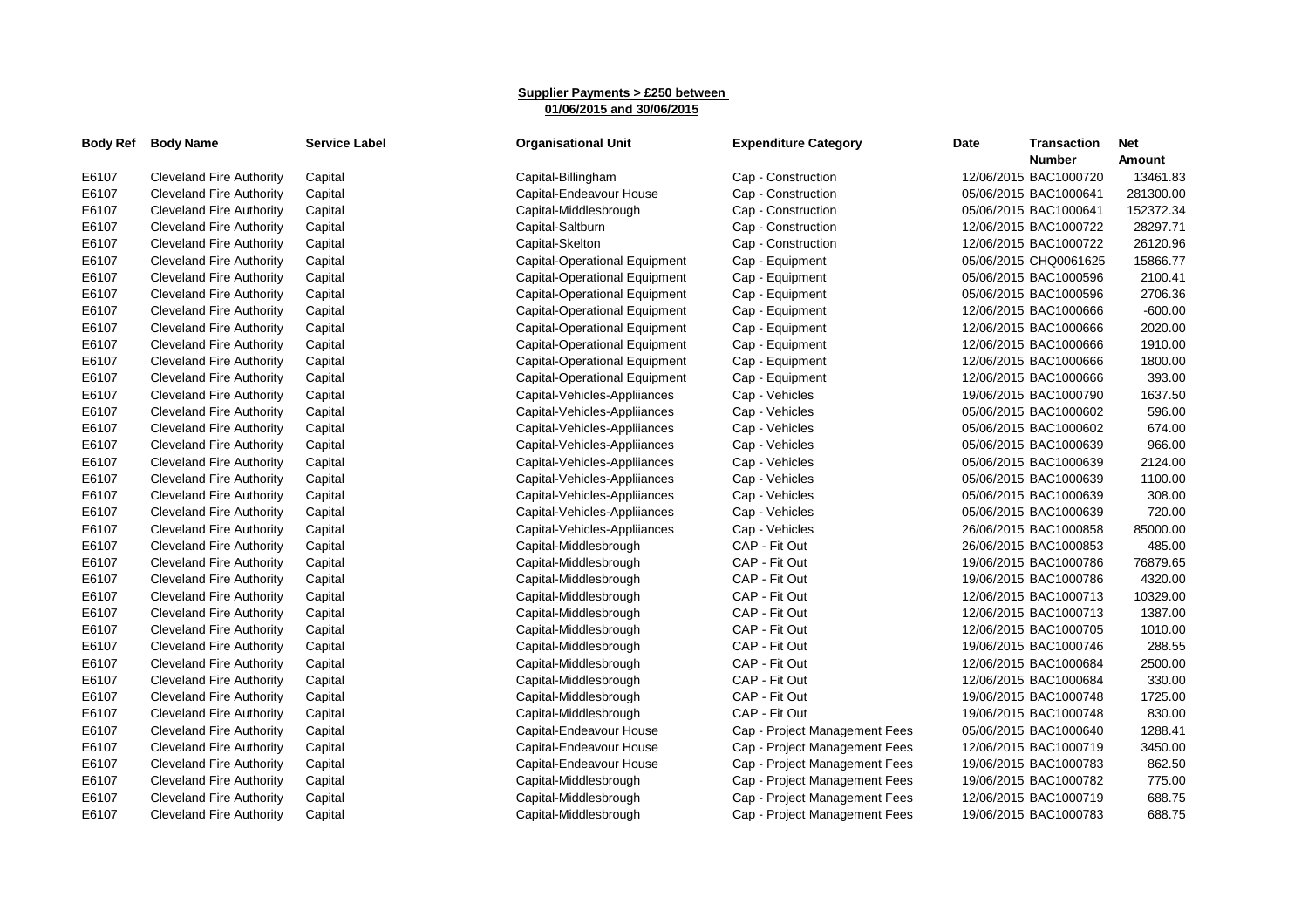## **Supplier Payments > £250 between 01/06/2015 and 30/06/2015**

| <b>Body Ref</b> | <b>Body Name</b>                | <b>Service Label</b> | <b>Organisational Unit</b>           | <b>Expenditure Category</b>   | Date | <b>Transaction</b><br><b>Number</b> | <b>Net</b><br><b>Amount</b> |
|-----------------|---------------------------------|----------------------|--------------------------------------|-------------------------------|------|-------------------------------------|-----------------------------|
| E6107           | Cleveland Fire Authority        | Capital              | Capital-Billingham                   | Cap - Construction            |      | 12/06/2015 BAC1000720               | 13461.83                    |
| E6107           | <b>Cleveland Fire Authority</b> | Capital              | Capital-Endeavour House              | Cap - Construction            |      | 05/06/2015 BAC1000641               | 281300.00                   |
| E6107           | <b>Cleveland Fire Authority</b> | Capital              | Capital-Middlesbrough                | Cap - Construction            |      | 05/06/2015 BAC1000641               | 152372.34                   |
| E6107           | <b>Cleveland Fire Authority</b> | Capital              | Capital-Saltburn                     | Cap - Construction            |      | 12/06/2015 BAC1000722               | 28297.71                    |
| E6107           | <b>Cleveland Fire Authority</b> | Capital              | Capital-Skelton                      | Cap - Construction            |      | 12/06/2015 BAC1000722               | 26120.96                    |
| E6107           | <b>Cleveland Fire Authority</b> | Capital              | <b>Capital-Operational Equipment</b> | Cap - Equipment               |      | 05/06/2015 CHQ0061625               | 15866.77                    |
| E6107           | <b>Cleveland Fire Authority</b> | Capital              | Capital-Operational Equipment        | Cap - Equipment               |      | 05/06/2015 BAC1000596               | 2100.41                     |
| E6107           | Cleveland Fire Authority        | Capital              | Capital-Operational Equipment        | Cap - Equipment               |      | 05/06/2015 BAC1000596               | 2706.36                     |
| E6107           | <b>Cleveland Fire Authority</b> | Capital              | Capital-Operational Equipment        | Cap - Equipment               |      | 12/06/2015 BAC1000666               | $-600.00$                   |
| E6107           | <b>Cleveland Fire Authority</b> | Capital              | <b>Capital-Operational Equipment</b> | Cap - Equipment               |      | 12/06/2015 BAC1000666               | 2020.00                     |
| E6107           | <b>Cleveland Fire Authority</b> | Capital              | <b>Capital-Operational Equipment</b> | Cap - Equipment               |      | 12/06/2015 BAC1000666               | 1910.00                     |
| E6107           | <b>Cleveland Fire Authority</b> | Capital              | Capital-Operational Equipment        | Cap - Equipment               |      | 12/06/2015 BAC1000666               | 1800.00                     |
| E6107           | <b>Cleveland Fire Authority</b> | Capital              | Capital-Operational Equipment        | Cap - Equipment               |      | 12/06/2015 BAC1000666               | 393.00                      |
| E6107           | <b>Cleveland Fire Authority</b> | Capital              | Capital-Vehicles-Appliiances         | Cap - Vehicles                |      | 19/06/2015 BAC1000790               | 1637.50                     |
| E6107           | <b>Cleveland Fire Authority</b> | Capital              | Capital-Vehicles-Appliiances         | Cap - Vehicles                |      | 05/06/2015 BAC1000602               | 596.00                      |
| E6107           | <b>Cleveland Fire Authority</b> | Capital              | Capital-Vehicles-Appliiances         | Cap - Vehicles                |      | 05/06/2015 BAC1000602               | 674.00                      |
| E6107           | <b>Cleveland Fire Authority</b> | Capital              | Capital-Vehicles-Appliiances         | Cap - Vehicles                |      | 05/06/2015 BAC1000639               | 966.00                      |
| E6107           | Cleveland Fire Authority        | Capital              | Capital-Vehicles-Appliiances         | Cap - Vehicles                |      | 05/06/2015 BAC1000639               | 2124.00                     |
| E6107           | <b>Cleveland Fire Authority</b> | Capital              | Capital-Vehicles-Appliiances         | Cap - Vehicles                |      | 05/06/2015 BAC1000639               | 1100.00                     |
| E6107           | <b>Cleveland Fire Authority</b> | Capital              | Capital-Vehicles-Appliiances         | Cap - Vehicles                |      | 05/06/2015 BAC1000639               | 308.00                      |
| E6107           | <b>Cleveland Fire Authority</b> | Capital              | Capital-Vehicles-Appliiances         | Cap - Vehicles                |      | 05/06/2015 BAC1000639               | 720.00                      |
| E6107           | <b>Cleveland Fire Authority</b> | Capital              | Capital-Vehicles-Appliiances         | Cap - Vehicles                |      | 26/06/2015 BAC1000858               | 85000.00                    |
| E6107           | <b>Cleveland Fire Authority</b> | Capital              | Capital-Middlesbrough                | CAP - Fit Out                 |      | 26/06/2015 BAC1000853               | 485.00                      |
| E6107           | <b>Cleveland Fire Authority</b> | Capital              | Capital-Middlesbrough                | CAP - Fit Out                 |      | 19/06/2015 BAC1000786               | 76879.65                    |
| E6107           | <b>Cleveland Fire Authority</b> | Capital              | Capital-Middlesbrough                | CAP - Fit Out                 |      | 19/06/2015 BAC1000786               | 4320.00                     |
| E6107           | <b>Cleveland Fire Authority</b> | Capital              | Capital-Middlesbrough                | CAP - Fit Out                 |      | 12/06/2015 BAC1000713               | 10329.00                    |
| E6107           | <b>Cleveland Fire Authority</b> | Capital              | Capital-Middlesbrough                | CAP - Fit Out                 |      | 12/06/2015 BAC1000713               | 1387.00                     |
| E6107           | <b>Cleveland Fire Authority</b> | Capital              | Capital-Middlesbrough                | CAP - Fit Out                 |      | 12/06/2015 BAC1000705               | 1010.00                     |
| E6107           | <b>Cleveland Fire Authority</b> | Capital              | Capital-Middlesbrough                | CAP - Fit Out                 |      | 19/06/2015 BAC1000746               | 288.55                      |
| E6107           | <b>Cleveland Fire Authority</b> | Capital              | Capital-Middlesbrough                | CAP - Fit Out                 |      | 12/06/2015 BAC1000684               | 2500.00                     |
| E6107           | <b>Cleveland Fire Authority</b> | Capital              | Capital-Middlesbrough                | CAP - Fit Out                 |      | 12/06/2015 BAC1000684               | 330.00                      |
| E6107           | <b>Cleveland Fire Authority</b> | Capital              | Capital-Middlesbrough                | CAP - Fit Out                 |      | 19/06/2015 BAC1000748               | 1725.00                     |
| E6107           | <b>Cleveland Fire Authority</b> | Capital              | Capital-Middlesbrough                | CAP - Fit Out                 |      | 19/06/2015 BAC1000748               | 830.00                      |
| E6107           | <b>Cleveland Fire Authority</b> | Capital              | Capital-Endeavour House              | Cap - Project Management Fees |      | 05/06/2015 BAC1000640               | 1288.41                     |
| E6107           | <b>Cleveland Fire Authority</b> | Capital              | Capital-Endeavour House              | Cap - Project Management Fees |      | 12/06/2015 BAC1000719               | 3450.00                     |
| E6107           | <b>Cleveland Fire Authority</b> | Capital              | Capital-Endeavour House              | Cap - Project Management Fees |      | 19/06/2015 BAC1000783               | 862.50                      |
| E6107           | <b>Cleveland Fire Authority</b> | Capital              | Capital-Middlesbrough                | Cap - Project Management Fees |      | 19/06/2015 BAC1000782               | 775.00                      |
| E6107           | <b>Cleveland Fire Authority</b> | Capital              | Capital-Middlesbrough                | Cap - Project Management Fees |      | 12/06/2015 BAC1000719               | 688.75                      |
| E6107           | <b>Cleveland Fire Authority</b> | Capital              | Capital-Middlesbrough                | Cap - Project Management Fees |      | 19/06/2015 BAC1000783               | 688.75                      |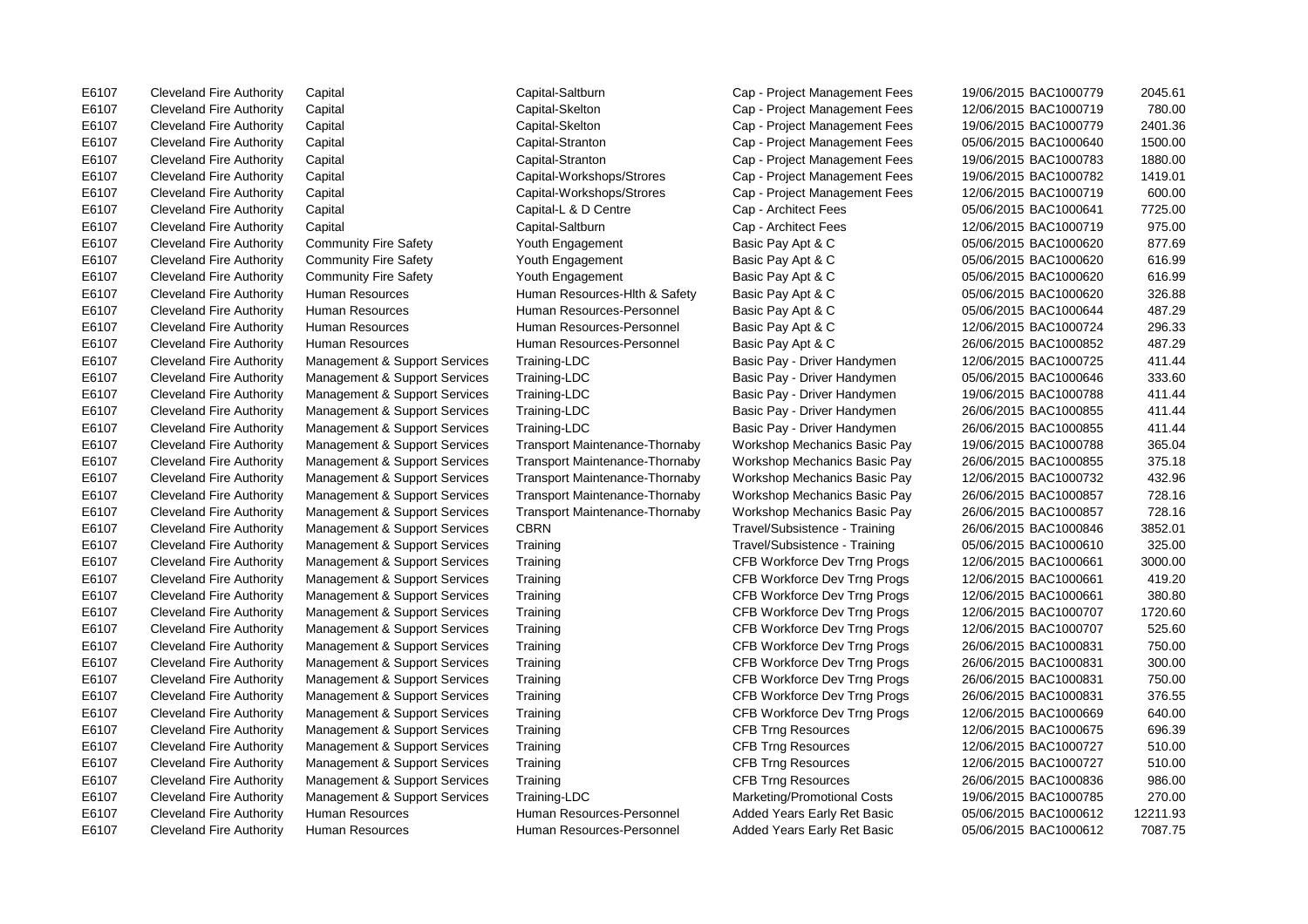E6107 Cleveland Fire Authority Capital Capital-Saltburn Cap - Project Management Fees 19/06/2015 BAC1000779 2045.61 E6107 Cleveland Fire Authority Human Resources Human Resources-Personnel Added Years Early Ret Basic 05/06/2015 BAC1000612 7087.75

E6107 Cleveland Fire Authority Capital Capital-Skelton Cap - Project Management Fees 12/06/2015 BAC1000719 780.00 E6107 Cleveland Fire Authority Capital Capital-Skelton Cap - Project Management Fees 19/06/2015 BAC1000779 2401.36 E6107 Cleveland Fire Authority Capital Capital-Stranton Cap - Project Management Fees 05/06/2015 BAC1000640 1500.00 E6107 Cleveland Fire Authority Capital Capital-Stranton Cap - Project Management Fees 19/06/2015 BAC1000783 1880.00 E6107 Cleveland Fire Authority Capital Capital-Workshops/Strores Cap - Project Management Fees 19/06/2015 BAC1000782 1419.01 E6107 Cleveland Fire Authority Capital Capital-Workshops/Strores Cap - Project Management Fees 12/06/2015 BAC1000719 600.00 E6107 Cleveland Fire Authority Capital Capital-L & D Centre Cap - Architect Fees 05/06/2015 BAC1000641 7725.00 E6107 Cleveland Fire Authority Capital Capital-Saltburn Cap - Architect Fees 12/06/2015 BAC1000719 975.00 E6107 Cleveland Fire Authority Community Fire Safety Youth Engagement Basic Pay Apt & C 05/06/2015 BAC1000620 877.69 E6107 Cleveland Fire Authority Community Fire Safety Youth Engagement Basic Pay Apt & C 05/06/2015 BAC1000620 616.99 E6107 Cleveland Fire Authority Community Fire Safety Youth Engagement Basic Pay Apt & C 05/06/2015 BAC1000620 616.99 E6107 Cleveland Fire Authority Human Resources Human Resources-Hlth & Safety Basic Pay Apt & C 05/06/2015 BAC1000620 326.88 E6107 Cleveland Fire Authority Human Resources Human Resources-Personnel Basic Pay Apt & C 05/06/2015 BAC1000644 487.29 E6107 Cleveland Fire Authority Human Resources Human Resources-Personnel Basic Pay Apt & C 12/06/2015 BAC1000724 296.33 E6107 Cleveland Fire Authority Human Resources Human Resources-Personnel Basic Pay Apt & C 26/06/2015 BAC1000852 487.29 E6107 Cleveland Fire Authority Management & Support Services Training-LDC Basic Pay - Driver Handymen 12/06/2015 BAC1000725 411.44 E6107 Cleveland Fire Authority Management & Support Services Training-LDC Basic Pay - Driver Handymen 05/06/2015 BAC1000646 333.60 E6107 Cleveland Fire Authority Management & Support Services Training-LDC Basic Pay - Driver Handymen 19/06/2015 BAC1000788 411.44 E6107 Cleveland Fire Authority Management & Support Services Training-LDC Basic Pay - Driver Handymen 26/06/2015 BAC1000855 411.44 E6107 Cleveland Fire Authority Management & Support Services Training-LDC Basic Pay - Driver Handymen 26/06/2015 BAC1000855 411.44 E6107 Cleveland Fire Authority Management & Support Services Transport Maintenance-Thornaby Workshop Mechanics Basic Pay 19/06/2015 BAC1000788 365.04 E6107 Cleveland Fire Authority Management & Support Services Transport Maintenance-Thornaby Workshop Mechanics Basic Pay 26/06/2015 BAC1000855 375.18 E6107 Cleveland Fire Authority Management & Support Services Transport Maintenance-Thornaby Workshop Mechanics Basic Pay 12/06/2015 BAC1000732 432.96 E6107 Cleveland Fire Authority Management & Support Services Transport Maintenance-Thornaby Workshop Mechanics Basic Pay 26/06/2015 BAC1000857 728.16 E6107 Cleveland Fire Authority Management & Support Services Transport Maintenance-Thornaby Workshop Mechanics Basic Pay 26/06/2015 BAC1000857 728.16 E6107 Cleveland Fire Authority Management & Support Services CBRN Travel/Subsistence - Training 26/06/2015 BAC1000846 3852.01 E6107 Cleveland Fire Authority Management & Support Services Training Travel/Subsistence - Training 05/06/2015 BAC1000610 325.00 E6107 Cleveland Fire Authority Management & Support Services Training CFB Workforce Dev Trng Progs 12/06/2015 BAC1000661 3000.00 E6107 Cleveland Fire Authority Management & Support Services Training CFB Workforce Dev Trng Progs 12/06/2015 BAC1000661 419.20 E6107 Cleveland Fire Authority Management & Support Services Training CFB Workforce Dev Trng Progs 12/06/2015 BAC1000661 380.80 E6107 Cleveland Fire Authority Management & Support Services Training CFB Workforce Dev Trng Progs 12/06/2015 BAC1000707 1720.60 E6107 Cleveland Fire Authority Management & Support Services Training CFB Workforce Dev Trng Progs 12/06/2015 BAC1000707 525.60 E6107 Cleveland Fire Authority Management & Support Services Training CFB Workforce Dev Trng Progs 26/06/2015 BAC1000831 750.00 E6107 Cleveland Fire Authority Management & Support Services Training CFB Workforce Dev Trng Progs 26/06/2015 BAC1000831 300.00 E6107 Cleveland Fire Authority Management & Support Services Training CFB Workforce Dev Trng Progs 26/06/2015 BAC1000831 750.00 E6107 Cleveland Fire Authority Management & Support Services Training CFB Workforce Dev Trng Progs 26/06/2015 BAC1000831 376.55 E6107 Cleveland Fire Authority Management & Support Services Training CFB Workforce Dev Trng Progs 12/06/2015 BAC1000669 640.00 E6107 Cleveland Fire Authority Management & Support Services Training CFB Trng Resources 12/06/2015 BAC1000675 696.39 E6107 Cleveland Fire Authority Management & Support Services Training CFB Trng Resources 12/06/2015 BAC1000727 510.00 E6107 Cleveland Fire Authority Management & Support Services Training CFB Trng Resources 12/06/2015 BAC1000727 510.00 E6107 Cleveland Fire Authority Management & Support Services Training CFB Trng Resources 26/06/2015 BAC1000836 986.00 E6107 Cleveland Fire Authority Management & Support Services Training-LDC Marketing/Promotional Costs 19/06/2015 BAC1000785 270.00 E6107 Cleveland Fire Authority Human Resources Human Resources-Personnel Added Years Early Ret Basic 05/06/2015 BAC1000612 12211.93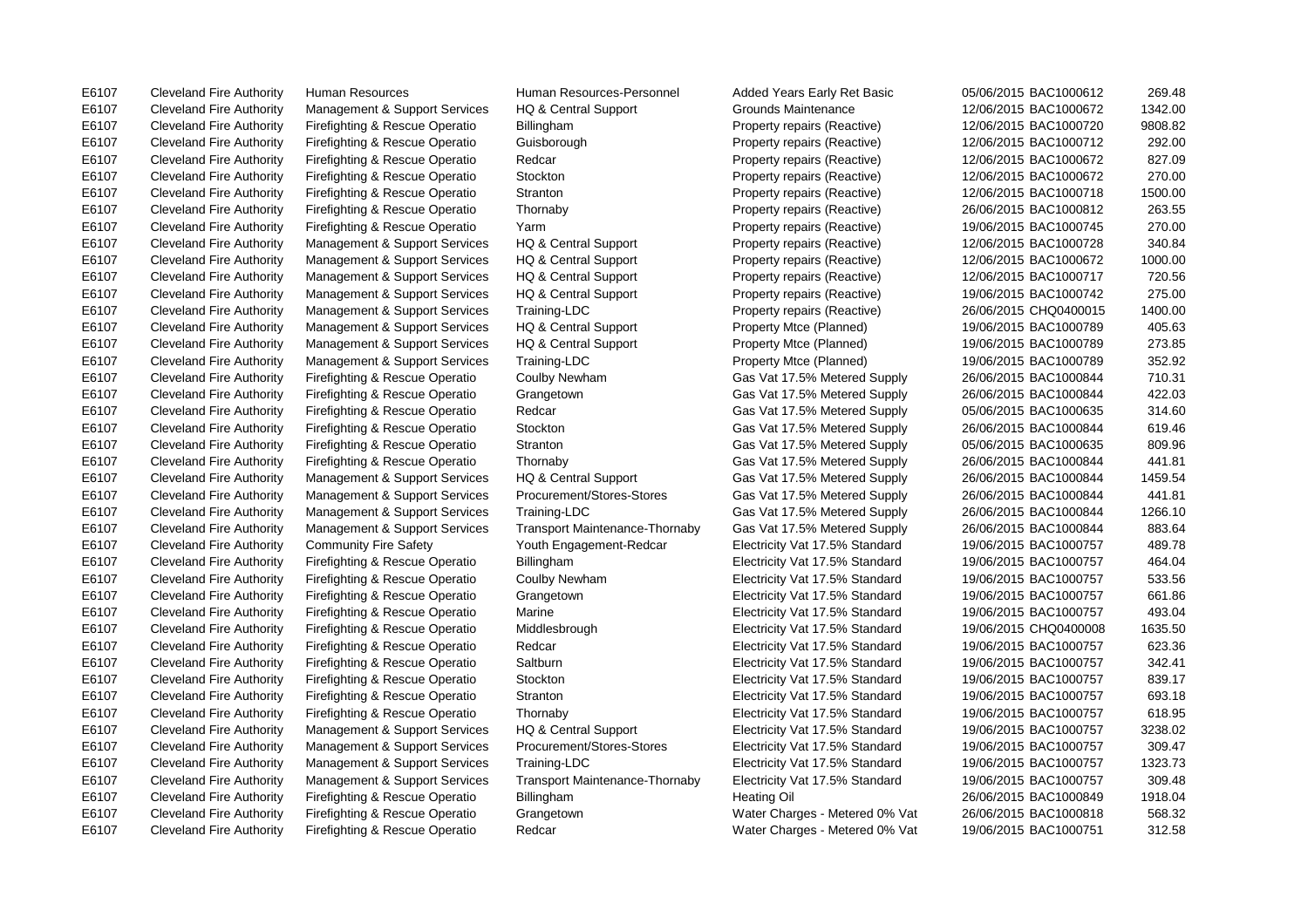E6107 Cleveland Fire Authority Human Resources Human Resources-Personnel Added Years Early Ret Basic 05/06/2015 BAC1000612 269.48 E6107 Cleveland Fire Authority Management & Support Services HQ & Central Support Grounds Maintenance 12/06/2015 BAC1000672 1342.00 E6107 Cleveland Fire Authority Firefighting & Rescue Operatio Billingham Property repairs (Reactive) 12/06/2015 BAC1000720 9808.82 E6107 Cleveland Fire Authority Firefighting & Rescue Operatio Guisborough Property repairs (Reactive) 12/06/2015 BAC1000712 292.00 E6107 Cleveland Fire Authority Firefighting & Rescue Operatio Redcar Property repairs (Reactive) 12/06/2015 BAC1000672 827.09 E6107 Cleveland Fire Authority Firefighting & Rescue Operatio Stockton Property repairs (Reactive) 12/06/2015 BAC1000672 270.00 E6107 Cleveland Fire Authority Firefighting & Rescue Operatio Stranton Property repairs (Reactive) 12/06/2015 BAC1000718 1500.00 E6107 Cleveland Fire Authority Firefighting & Rescue Operatio Thornaby Property repairs (Reactive) 26/06/2015 BAC1000812 263.55 E6107 Cleveland Fire Authority Firefighting & Rescue Operatio Yarm Property repairs (Reactive) 19/06/2015 BAC1000745 270.00 E6107 Cleveland Fire Authority Management & Support Services HQ & Central Support Property repairs (Reactive) 12/06/2015 BAC1000728 340.84 E6107 Cleveland Fire Authority Management & Support Services HQ & Central Support Property repairs (Reactive) 12/06/2015 BAC1000672 1000.00 E6107 Cleveland Fire Authority Management & Support Services HQ & Central Support Property repairs (Reactive) 12/06/2015 BAC1000717 720.56 E6107 Cleveland Fire Authority Management & Support Services HQ & Central Support Property repairs (Reactive) 19/06/2015 BAC1000742 275.00 E6107 Cleveland Fire Authority Management & Support Services Training-LDC Property repairs (Reactive) 26/06/2015 CHQ0400015 1400.00 E6107 Cleveland Fire Authority Management & Support Services HQ & Central Support Property Mtce (Planned) 19/06/2015 BAC1000789 405.63 E6107 Cleveland Fire Authority Management & Support Services HQ & Central Support Property Mtce (Planned) 19/06/2015 BAC1000789 273.85 E6107 Cleveland Fire Authority Management & Support Services Training-LDC Property Mtce (Planned) 19/06/2015 BAC1000789 352.92 E6107 Cleveland Fire Authority Firefighting & Rescue Operatio Coulby Newham Gas Vat 17.5% Metered Supply 26/06/2015 BAC1000844 710.31 E6107 Cleveland Fire Authority Firefighting & Rescue Operatio Grangetown Gas Vat 17.5% Metered Supply 26/06/2015 BAC1000844 422.03 E6107 Cleveland Fire Authority Firefighting & Rescue Operatio Redcar Gas Vat 17.5% Metered Supply 05/06/2015 BAC1000635 314.60 E6107 Cleveland Fire Authority Firefighting & Rescue Operatio Stockton Gas Vat 17.5% Metered Supply 26/06/2015 BAC1000844 619.46 E6107 Cleveland Fire Authority Firefighting & Rescue Operatio Stranton Gas Vat 17.5% Metered Supply 05/06/2015 BAC1000635 809.96 E6107 Cleveland Fire Authority Firefighting & Rescue Operatio Thornaby Gas Vat 17.5% Metered Supply 26/06/2015 BAC1000844 441.81 E6107 Cleveland Fire Authority Management & Support Services HQ & Central Support Gas Vat 17.5% Metered Supply 26/06/2015 BAC1000844 1459.54 E6107 Cleveland Fire Authority Management & Support Services Procurement/Stores-Stores Gas Vat 17.5% Metered Supply 26/06/2015 BAC1000844 441.81 E6107 Cleveland Fire Authority Management & Support Services Training-LDC Gas Vat 17.5% Metered Supply 26/06/2015 BAC1000844 1266.10 E6107 Cleveland Fire Authority Management & Support Services Transport Maintenance-Thornaby Gas Vat 17.5% Metered Supply 26/06/2015 BAC1000844 883.64 E6107 Cleveland Fire Authority Community Fire Safety Youth Engagement-Redcar Electricity Vat 17.5% Standard 19/06/2015 BAC1000757 489.78 E6107 Cleveland Fire Authority Firefighting & Rescue Operatio Billingham Electricity Vat 17.5% Standard 19/06/2015 BAC1000757 464.04 E6107 Cleveland Fire Authority Firefighting & Rescue Operatio Coulby Newham Electricity Vat 17.5% Standard 19/06/2015 BAC1000757 533.56 E6107 Cleveland Fire Authority Firefighting & Rescue Operatio Grangetown Electricity Vat 17.5% Standard 19/06/2015 BAC1000757 661.86 E6107 Cleveland Fire Authority Firefighting & Rescue Operatio Marine Electricity Vat 17.5% Standard 19/06/2015 BAC1000757 493.04 E6107 Cleveland Fire Authority Firefighting & Rescue Operatio Middlesbrough Electricity Vat 17.5% Standard 19/06/2015 CHQ0400008 1635.50 E6107 Cleveland Fire Authority Firefighting & Rescue Operatio Redcar Electricity Vat 17.5% Standard 19/06/2015 BAC1000757 623.36 E6107 Cleveland Fire Authority Firefighting & Rescue Operatio Saltburn Electricity Vat 17.5% Standard 19/06/2015 BAC1000757 342.41 E6107 Cleveland Fire Authority Firefighting & Rescue Operatio Stockton Electricity Vat 17.5% Standard 19/06/2015 BAC1000757 839.17 E6107 Cleveland Fire Authority Firefighting & Rescue Operatio Stranton Electricity Vat 17.5% Standard 19/06/2015 BAC1000757 693.18 E6107 Cleveland Fire Authority Firefighting & Rescue Operatio Thornaby Electricity Vat 17.5% Standard 19/06/2015 BAC1000757 618.95 E6107 Cleveland Fire Authority Management & Support Services HQ & Central Support Electricity Vat 17.5% Standard 19/06/2015 BAC1000757 3238.02 E6107 Cleveland Fire Authority Management & Support Services Procurement/Stores-Stores Electricity Vat 17.5% Standard 19/06/2015 BAC1000757 309.47 E6107 Cleveland Fire Authority Management & Support Services Training-LDC Electricity Vat 17.5% Standard 19/06/2015 BAC1000757 1323.73 E6107 Cleveland Fire Authority Management & Support Services Transport Maintenance-Thornaby Electricity Vat 17.5% Standard 19/06/2015 BAC1000757 309.48 E6107 Cleveland Fire Authority Firefighting & Rescue Operatio Billingham Heating Oil Heating Oil 26/06/2015 BAC1000849 1918.04 E6107 Cleveland Fire Authority Firefighting & Rescue Operatio Grangetown Water Charges - Metered 0% Vat 26/06/2015 BAC1000818 568.32 E6107 Cleveland Fire Authority Firefighting & Rescue Operatio Redcar Water Charges - Metered 0% Vat 19/06/2015 BAC1000751 312.58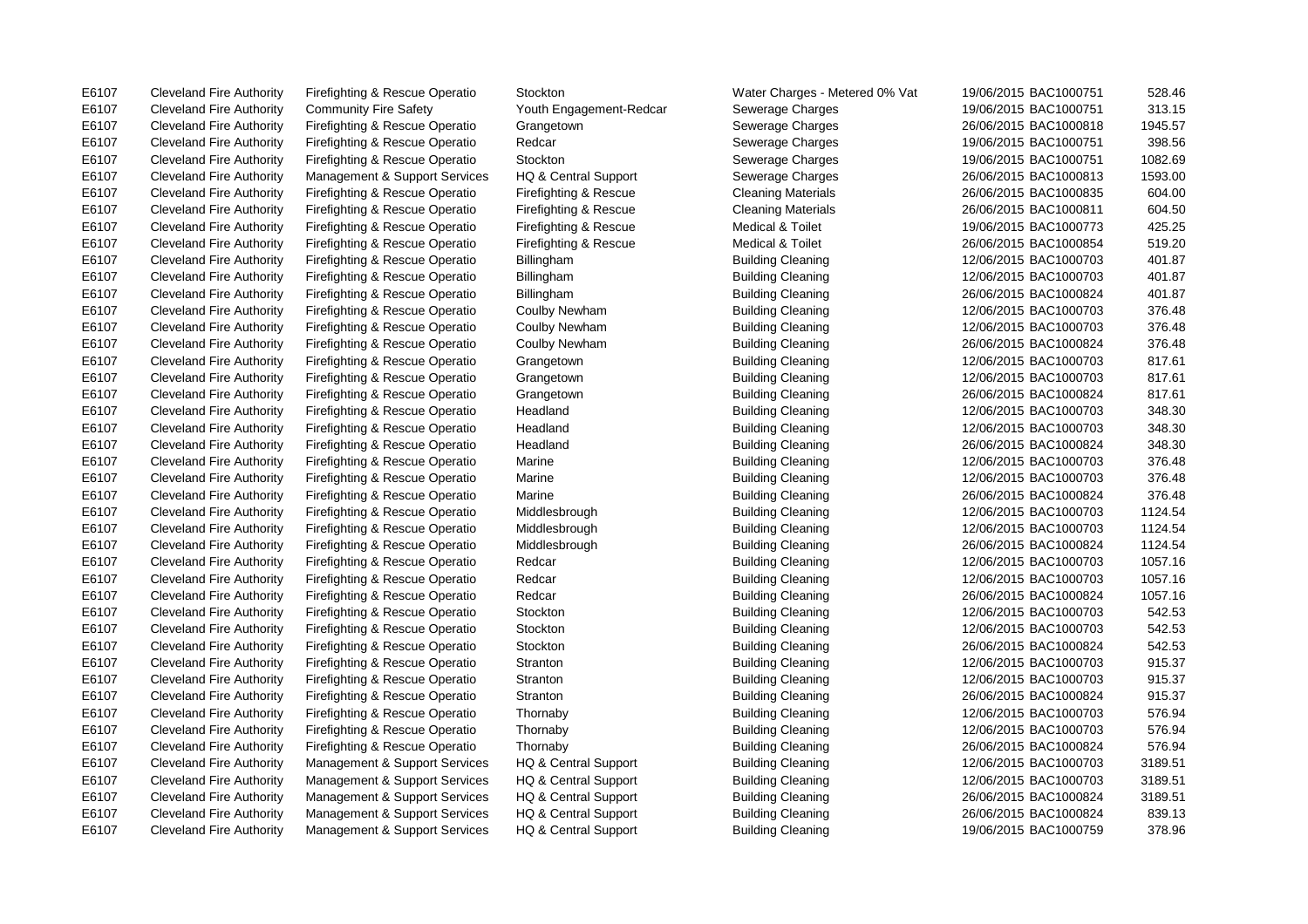E6107 Cleveland Fire Authority Firefighting & Rescue Operatio Stockton Water Charges - Metered 0% Vat 19/06/2015 BAC1000751 528.46

E6107 Cleveland Fire Authority Community Fire Safety Youth Engagement-Redcar Sewerage Charges 19/06/2015 BAC1000751 313.15 E6107 Cleveland Fire Authority Firefighting & Rescue Operatio Grangetown Sewerage Charges 26/06/2015 BAC1000818 1945.57 E6107 Cleveland Fire Authority Firefighting & Rescue Operatio Redcar Secure Sewerage Charges 19/06/2015 BAC1000751 398.56 E6107 Cleveland Fire Authority Firefighting & Rescue Operatio Stockton Stockton Sewerage Charges 19/06/2015 BAC1000751 1082.69 E6107 Cleveland Fire Authority Management & Support Services HQ & Central Support Sewerage Charges 26/06/2015 BAC1000813 1593.00 E6107 Cleveland Fire Authority Firefighting & Rescue Operatio Firefighting & Rescue Cleaning Materials 26/06/2015 BAC1000835 604.00 E6107 Cleveland Fire Authority Firefighting & Rescue Operatio Firefighting & Rescue Cleaning Materials 26/06/2015 BAC1000811 604.50 E6107 Cleveland Fire Authority Firefighting & Rescue Operatio Firefighting & Rescue Medical & Toilet 19/06/2015 BAC1000773 425.25 E6107 Cleveland Fire Authority Firefighting & Rescue Operatio Firefighting & Rescue Medical & Toilet 26/06/2015 BAC1000854 519.20 E6107 Cleveland Fire Authority Firefighting & Rescue Operatio Billingham Building Cleaning 12/06/2015 BAC1000703 401.87 E6107 Cleveland Fire Authority Firefighting & Rescue Operatio Billingham Building Cleaning 12/06/2015 BAC1000703 401.87 E6107 Cleveland Fire Authority Firefighting & Rescue Operatio Billingham Building Cleaning 26/06/2015 BAC1000824 401.87 E6107 Cleveland Fire Authority Firefighting & Rescue Operatio Coulby Newham Building Cleaning 12/06/2015 BAC1000703 376.48 E6107 Cleveland Fire Authority Firefighting & Rescue Operatio Coulby Newham Building Cleaning 12/06/2015 BAC1000703 376.48 E6107 Cleveland Fire Authority Firefighting & Rescue Operatio Coulby Newham Building Cleaning 26/06/2015 BAC1000824 376.48 E6107 Cleveland Fire Authority Firefighting & Rescue Operatio Grangetown Building Cleaning 12/06/2015 BAC1000703 817.61 E6107 Cleveland Fire Authority Firefighting & Rescue Operatio Grangetown Building Cleaning 12/06/2015 BAC1000703 817.61 E6107 Cleveland Fire Authority Firefighting & Rescue Operatio Grangetown Building Cleaning 26/06/2015 BAC1000824 817.61 E6107 Cleveland Fire Authority Firefighting & Rescue Operatio Headland Building Cleaning 12/06/2015 BAC1000703 348.30 E6107 Cleveland Fire Authority Firefighting & Rescue Operatio Headland Building Cleaning 12/06/2015 BAC1000703 348.30 E6107 Cleveland Fire Authority Firefighting & Rescue Operatio Headland Building Cleaning 26/06/2015 BAC1000824 348.30 E6107 Cleveland Fire Authority Firefighting & Rescue Operatio Marine 12006/2015 Building Cleaning 12/06/2015 BAC1000703 376.48 E6107 Cleveland Fire Authority Firefighting & Rescue Operatio Marine 12006/2015 Building Cleaning 12/06/2015 BAC1000703 376.48 E6107 Cleveland Fire Authority Firefighting & Rescue Operatio Marine Building Cleaning 26/06/2015 BAC1000824 376.48 E6107 Cleveland Fire Authority Firefighting & Rescue Operatio Middlesbrough Building Cleaning 12/06/2015 BAC1000703 1124.54 E6107 Cleveland Fire Authority Firefighting & Rescue Operatio Middlesbrough Building Cleaning 12/06/2015 BAC1000703 1124.54 E6107 Cleveland Fire Authority Firefighting & Rescue Operatio Middlesbrough Building Cleaning 26/06/2015 BAC1000824 1124.54 E6107 Cleveland Fire Authority Firefighting & Rescue Operatio Redcar Building Cleaning 12/06/2015 BAC1000703 1057.16 E6107 Cleveland Fire Authority Firefighting & Rescue Operatio Redcar Building Cleaning 12/06/2015 BAC1000703 1057.16 E6107 Cleveland Fire Authority Firefighting & Rescue Operatio Redcar Building Cleaning 26/06/2015 BAC1000824 1057.16 E6107 Cleveland Fire Authority Firefighting & Rescue Operatio Stockton Building Cleaning 12/06/2015 BAC1000703 542.53 E6107 Cleveland Fire Authority Firefighting & Rescue Operatio Stockton Building Cleaning 12/06/2015 BAC1000703 542.53 E6107 Cleveland Fire Authority Firefighting & Rescue Operatio Stockton Building Cleaning 26/06/2015 BAC1000824 542.53 E6107 Cleveland Fire Authority Firefighting & Rescue Operatio Stranton Building Cleaning 12/06/2015 BAC1000703 915.37 E6107 Cleveland Fire Authority Firefighting & Rescue Operatio Stranton Building Cleaning 12/06/2015 BAC1000703 915.37 E6107 Cleveland Fire Authority Firefighting & Rescue Operatio Stranton Building Cleaning 26/06/2015 BAC1000824 915.37 E6107 Cleveland Fire Authority Firefighting & Rescue Operatio Thornaby Building Cleaning 12/06/2015 BAC1000703 576.94 E6107 Cleveland Fire Authority Firefighting & Rescue Operatio Thornaby Building Cleaning 12/06/2015 BAC1000703 576.94 E6107 Cleveland Fire Authority Firefighting & Rescue Operatio Thornaby Building Cleaning 26/06/2015 BAC1000824 576.94 E6107 Cleveland Fire Authority Management & Support Services HQ & Central Support Building Cleaning 12/06/2015 BAC1000703 3189.51 E6107 Cleveland Fire Authority Management & Support Services HQ & Central Support Building Cleaning 12/06/2015 BAC1000703 3189.51 E6107 Cleveland Fire Authority Management & Support Services HQ & Central Support Building Cleaning 26/06/2015 BAC1000824 3189.51 E6107 Cleveland Fire Authority Management & Support Services HQ & Central Support Building Cleaning 26/06/2015 BAC1000824 839.13 E6107 Cleveland Fire Authority Management & Support Services HQ & Central Support Building Cleaning 19/06/2015 BAC1000759 378.96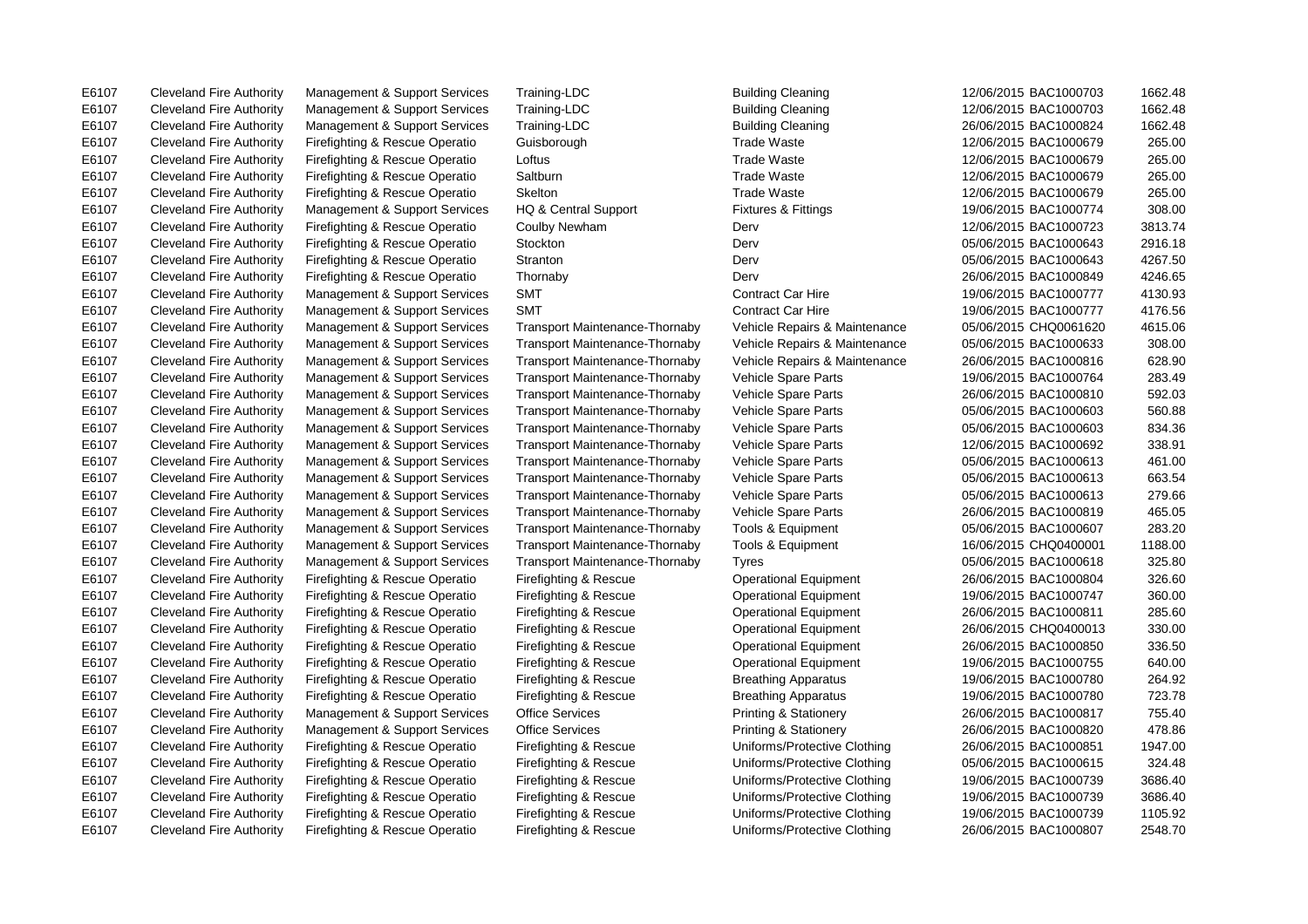E6107 Cleveland Fire Authority Management & Support Services Training-LDC Building Cleaning 12/06/2015 BAC1000703 1662.48

E6107 Cleveland Fire Authority Management & Support Services Training-LDC Building Cleaning 1862/06/2015 BAC1000703 1662.48 E6107 Cleveland Fire Authority Management & Support Services Training-LDC Building Cleaning 26/06/2015 BAC1000824 1662.48 E6107 Cleveland Fire Authority Firefighting & Rescue Operatio Guisborough Trade Waste 12/06/2015 BAC1000679 265.00 E6107 Cleveland Fire Authority Firefighting & Rescue Operatio Loftus Trade Waste 12/06/2015 BAC1000679 265.00 E6107 Cleveland Fire Authority Firefighting & Rescue Operatio Saltburn Trade Waste 12/06/2015 BAC1000679 265.00 E6107 Cleveland Fire Authority Firefighting & Rescue Operatio Skelton Trade Waste 12/06/2015 BAC1000679 265.00 E6107 Cleveland Fire Authority Management & Support Services HQ & Central Support Fixtures & Fittings 19/06/2015 BAC1000774 308.00 E6107 Cleveland Fire Authority Firefighting & Rescue Operatio Coulby Newham Derv 12/06/2015 BAC1000723 3813.74 E6107 Cleveland Fire Authority Firefighting & Rescue Operatio Stockton Derv 05/06/2015 BAC1000643 2916.18 E6107 Cleveland Fire Authority Firefighting & Rescue Operatio Stranton Derv 05/06/2015 BAC1000643 4267.50 E6107 Cleveland Fire Authority Firefighting & Rescue Operatio Thornaby Derv 26/06/2015 BAC1000849 4246.65 E6107 Cleveland Fire Authority Management & Support Services SMT Contract Car Hire 19/06/2015 BAC1000777 4130.93 E6107 Cleveland Fire Authority Management & Support Services SMT Contract Car Hire 19/06/2015 BAC1000777 4176.56 E6107 Cleveland Fire Authority Management & Support Services Transport Maintenance-Thornaby Vehicle Repairs & Maintenance 05/06/2015 CHQ0061620 4615.06 E6107 Cleveland Fire Authority Management & Support Services Transport Maintenance-Thornaby Vehicle Repairs & Maintenance 05/06/2015 BAC1000633 308.00 E6107 Cleveland Fire Authority Management & Support Services Transport Maintenance-Thornaby Vehicle Repairs & Maintenance 26/06/2015 BAC1000816 628.90 E6107 Cleveland Fire Authority Management & Support Services Transport Maintenance-Thornaby Vehicle Spare Parts 19/06/2015 BAC1000764 283.49 E6107 Cleveland Fire Authority Management & Support Services Transport Maintenance-Thornaby Vehicle Spare Parts 26/06/2015 BAC1000810 592.03 E6107 Cleveland Fire Authority Management & Support Services Transport Maintenance-Thornaby Vehicle Spare Parts 05/06/2015 BAC1000603 560.88 E6107 Cleveland Fire Authority Management & Support Services Transport Maintenance-Thornaby Vehicle Spare Parts 05/06/2015 BAC1000603 834.36 E6107 Cleveland Fire Authority Management & Support Services Transport Maintenance-Thornaby Vehicle Spare Parts 12/06/2015 BAC1000692 338.91 E6107 Cleveland Fire Authority Management & Support Services Transport Maintenance-Thornaby Vehicle Spare Parts 05/06/2015 BAC1000613 461.00 E6107 Cleveland Fire Authority Management & Support Services Transport Maintenance-Thornaby Vehicle Spare Parts 05/06/2015 BAC1000613 663.54 E6107 Cleveland Fire Authority Management & Support Services Transport Maintenance-Thornaby Vehicle Spare Parts 05/06/2015 BAC1000613 279.66 E6107 Cleveland Fire Authority Management & Support Services Transport Maintenance-Thornaby Vehicle Spare Parts 26/06/2015 BAC1000819 465.05 E6107 Cleveland Fire Authority Management & Support Services Transport Maintenance-Thornaby Tools & Equipment 05/06/2015 BAC1000607 283.20 E6107 Cleveland Fire Authority Management & Support Services Transport Maintenance-Thornaby Tools & Equipment 16/06/2015 CHQ0400001 1188.00 E6107 Cleveland Fire Authority Management & Support Services Transport Maintenance-Thornaby Tyres 05/06/2015 BAC1000618 325.80 E6107 Cleveland Fire Authority Firefighting & Rescue Operatio Firefighting & Rescue Operational Equipment 26/06/2015 BAC1000804 326.60 E6107 Cleveland Fire Authority Firefighting & Rescue Operatio Firefighting & Rescue Operational Equipment 19/06/2015 BAC1000747 360.00 E6107 Cleveland Fire Authority Firefighting & Rescue Operatio Firefighting & Rescue Operational Equipment 26/06/2015 BAC1000811 285.60 E6107 Cleveland Fire Authority Firefighting & Rescue Operatio Firefighting & Rescue Operational Equipment 26/06/2015 CHQ0400013 330.00 E6107 Cleveland Fire Authority Firefighting & Rescue Operatio Firefighting & Rescue Operational Equipment 26/06/2015 BAC1000850 336.50 E6107 Cleveland Fire Authority Firefighting & Rescue Operatio Firefighting & Rescue Operational Equipment 19/06/2015 BAC1000755 640.00 E6107 Cleveland Fire Authority Firefighting & Rescue Operatio Firefighting & Rescue Breathing Apparatus 19/06/2015 BAC1000780 264.92 E6107 Cleveland Fire Authority Firefighting & Rescue Operatio Firefighting & Rescue Breathing Apparatus 19/06/2015 BAC1000780 723.78 E6107 Cleveland Fire Authority Management & Support Services Office Services Printing & Stationery 26/06/2015 BAC1000817 755.40 E6107 Cleveland Fire Authority Management & Support Services Office Services Printing & Stationery 26/06/2015 BAC1000820 478.86 E6107 Cleveland Fire Authority Firefighting & Rescue Operatio Firefighting & Rescue Uniforms/Protective Clothing 26/06/2015 BAC1000851 1947.00 E6107 Cleveland Fire Authority Firefighting & Rescue Operatio Firefighting & Rescue Uniforms/Protective Clothing 05/06/2015 BAC1000615 324.48 E6107 Cleveland Fire Authority Firefighting & Rescue Operatio Firefighting & Rescue Uniforms/Protective Clothing 19/06/2015 BAC1000739 3686.40 E6107 Cleveland Fire Authority Firefighting & Rescue Operatio Firefighting & Rescue Uniforms/Protective Clothing 19/06/2015 BAC1000739 3686.40 E6107 Cleveland Fire Authority Firefighting & Rescue Operatio Firefighting & Rescue Uniforms/Protective Clothing 19/06/2015 BAC1000739 1105.92 E6107 Cleveland Fire Authority Firefighting & Rescue Operatio Firefighting & Rescue Uniforms/Protective Clothing 26/06/2015 BAC1000807 2548.70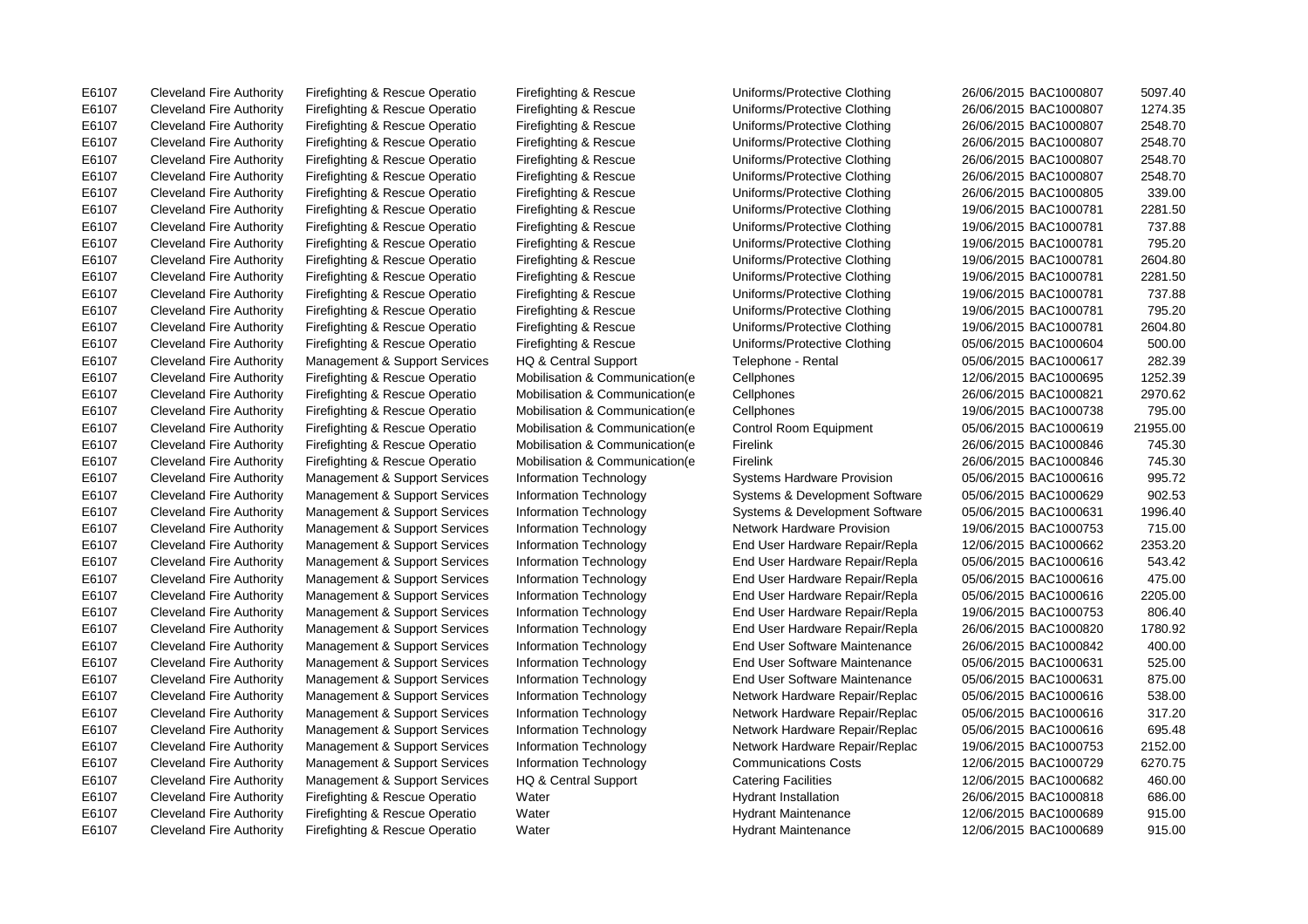E6107 Cleveland Fire Authority Firefighting & Rescue Operatio Water Hydrant Maintenance 12/06/2015 BAC1000689 915.00

E6107 Cleveland Fire Authority Firefighting & Rescue Operatio Firefighting & Rescue Uniforms/Protective Clothing 26/06/2015 BAC1000807 5097.40

E6107 Cleveland Fire Authority Firefighting & Rescue Operatio Firefighting & Rescue Uniforms/Protective Clothing 26/06/2015 BAC1000807 1274.35 E6107 Cleveland Fire Authority Firefighting & Rescue Operatio Firefighting & Rescue Uniforms/Protective Clothing 26/06/2015 BAC1000807 2548.70 E6107 Cleveland Fire Authority Firefighting & Rescue Operatio Firefighting & Rescue Uniforms/Protective Clothing 26/06/2015 BAC1000807 2548.70 E6107 Cleveland Fire Authority Firefighting & Rescue Operatio Firefighting & Rescue Uniforms/Protective Clothing 26/06/2015 BAC1000807 2548.70 E6107 Cleveland Fire Authority Firefighting & Rescue Operatio Firefighting & Rescue Uniforms/Protective Clothing 26/06/2015 BAC1000807 2548.70 E6107 Cleveland Fire Authority Firefighting & Rescue Operatio Firefighting & Rescue Uniforms/Protective Clothing 26/06/2015 BAC1000805 339.00 E6107 Cleveland Fire Authority Firefighting & Rescue Operatio Firefighting & Rescue Uniforms/Protective Clothing 19/06/2015 BAC1000781 2281.50 E6107 Cleveland Fire Authority Firefighting & Rescue Operatio Firefighting & Rescue Uniforms/Protective Clothing 19/06/2015 BAC1000781 737.88 E6107 Cleveland Fire Authority Firefighting & Rescue Operatio Firefighting & Rescue Uniforms/Protective Clothing 19/06/2015 BAC1000781 795.20 E6107 Cleveland Fire Authority Firefighting & Rescue Operatio Firefighting & Rescue Uniforms/Protective Clothing 19/06/2015 BAC1000781 2604.80 E6107 Cleveland Fire Authority Firefighting & Rescue Operatio Firefighting & Rescue Uniforms/Protective Clothing 19/06/2015 BAC1000781 2281.50 E6107 Cleveland Fire Authority Firefighting & Rescue Operatio Firefighting & Rescue Uniforms/Protective Clothing 19/06/2015 BAC1000781 737.88 E6107 Cleveland Fire Authority Firefighting & Rescue Operatio Firefighting & Rescue Uniforms/Protective Clothing 19/06/2015 BAC1000781 795.20 E6107 Cleveland Fire Authority Firefighting & Rescue Operatio Firefighting & Rescue Uniforms/Protective Clothing 19/06/2015 BAC1000781 2604.80 E6107 Cleveland Fire Authority Firefighting & Rescue Operatio Firefighting & Rescue Uniforms/Protective Clothing 05/06/2015 BAC1000604 500.00 E6107 Cleveland Fire Authority Management & Support Services HQ & Central Support Telephone - Rental 05/06/2015 BAC1000617 282.39 E6107 Cleveland Fire Authority Firefighting & Rescue Operatio Mobilisation & Communication(e Cellphones 12/06/2015 BAC1000695 1252.39 E6107 Cleveland Fire Authority Firefighting & Rescue Operatio Mobilisation & Communication(e Cellphones 26/06/2015 BAC1000821 2970.62 E6107 Cleveland Fire Authority Firefighting & Rescue Operatio Mobilisation & Communication(e Cellphones 19/06/2015 BAC1000738 795.00 E6107 Cleveland Fire Authority Firefighting & Rescue Operatio Mobilisation & Communication(e Control Room Equipment 05/06/2015 BAC1000619 21955.00 E6107 Cleveland Fire Authority Firefighting & Rescue Operatio Mobilisation & Communication(e Firelink 26/06/2015 BAC1000846 745.30 E6107 Cleveland Fire Authority Firefighting & Rescue Operatio Mobilisation & Communication(e Firelink 26/06/2015 BAC1000846 745.30 E6107 Cleveland Fire Authority Management & Support Services Information Technology Systems Hardware Provision 05/06/2015 BAC1000616 995.72 E6107 Cleveland Fire Authority Management & Support Services Information Technology Systems & Development Software 05/06/2015 BAC1000629 902.53 E6107 Cleveland Fire Authority Management & Support Services Information Technology Systems & Development Software 05/06/2015 BAC1000631 1996.40 E6107 Cleveland Fire Authority Management & Support Services Information Technology Network Hardware Provision 19/06/2015 BAC1000753 715.00 E6107 Cleveland Fire Authority Management & Support Services Information Technology End User Hardware Repair/Repla 12/06/2015 BAC1000662 2353.20 E6107 Cleveland Fire Authority Management & Support Services Information Technology End User Hardware Repair/Repla 05/06/2015 BAC1000616 543.42 E6107 Cleveland Fire Authority Management & Support Services Information Technology End User Hardware Repair/Repla 05/06/2015 BAC1000616 475.00 E6107 Cleveland Fire Authority Management & Support Services Information Technology End User Hardware Repair/Repla 05/06/2015 BAC1000616 2205.00 E6107 Cleveland Fire Authority Management & Support Services Information Technology End User Hardware Repair/Repla 19/06/2015 BAC1000753 806.40 E6107 Cleveland Fire Authority Management & Support Services Information Technology End User Hardware Repair/Repla 26/06/2015 BAC1000820 1780.92 E6107 Cleveland Fire Authority Management & Support Services Information Technology End User Software Maintenance 26/06/2015 BAC1000842 400.00 E6107 Cleveland Fire Authority Management & Support Services Information Technology End User Software Maintenance 05/06/2015 BAC1000631 525.00 E6107 Cleveland Fire Authority Management & Support Services Information Technology End User Software Maintenance 05/06/2015 BAC1000631 875.00 E6107 Cleveland Fire Authority Management & Support Services Information Technology Network Hardware Repair/Replac 05/06/2015 BAC1000616 538.00 E6107 Cleveland Fire Authority Management & Support Services Information Technology Network Hardware Repair/Replac 05/06/2015 BAC1000616 317.20 E6107 Cleveland Fire Authority Management & Support Services Information Technology Network Hardware Repair/Replac 05/06/2015 BAC1000616 695.48 E6107 Cleveland Fire Authority Management & Support Services Information Technology Network Hardware Repair/Replac 19/06/2015 BAC1000753 2152.00 E6107 Cleveland Fire Authority Management & Support Services Information Technology Communications Costs 12/06/2015 BAC1000729 6270.75 E6107 Cleveland Fire Authority Management & Support Services HQ & Central Support Catering Facilities 12/06/2015 BAC1000682 460.00 E6107 Cleveland Fire Authority Firefighting & Rescue Operatio Water Hydrant Installation 26/06/2015 BAC1000818 686.00 E6107 Cleveland Fire Authority Firefighting & Rescue Operatio Water Nater Hydrant Maintenance 12/06/2015 BAC1000689 915.00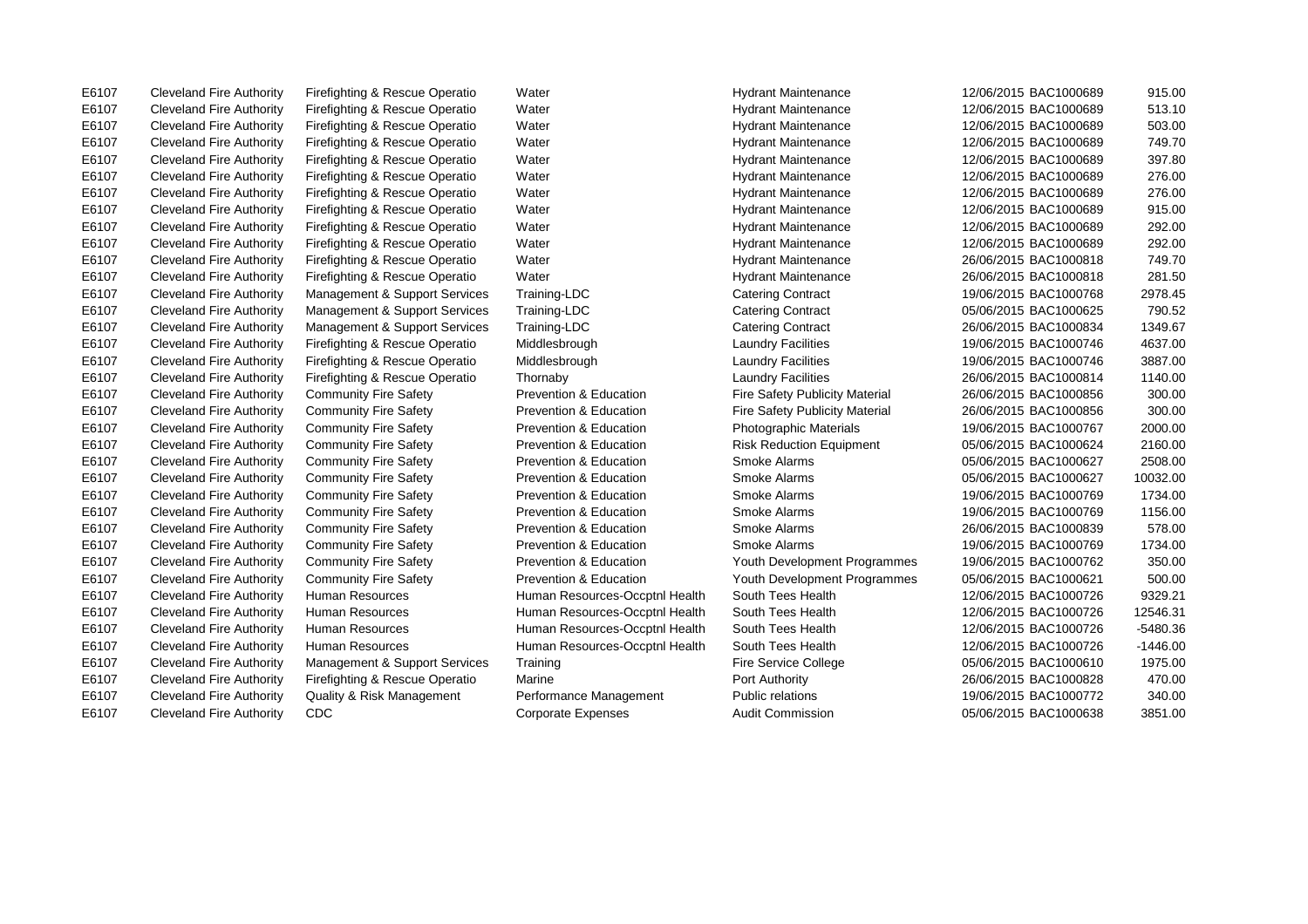E6107 Cleveland Fire Authority Firefighting & Rescue Operatio Water Nater Hydrant Maintenance 12/06/2015 BAC1000689 915.00 E6107 Cleveland Fire Authority Firefighting & Rescue Operatio Water Hydrant Maintenance 12/06/2015 BAC1000689 513.10 E6107 Cleveland Fire Authority Firefighting & Rescue Operatio Water Nater Hydrant Maintenance 12/06/2015 BAC1000689 749.70 E6107 Cleveland Fire Authority Firefighting & Rescue Operatio Water Hydrant Maintenance 12/06/2015 BAC1000689 397.80 E6107 Cleveland Fire Authority Firefighting & Rescue Operatio Water Hydrant Maintenance 12/06/2015 BAC1000689 292.00 E6107 Cleveland Fire Authority Firefighting & Rescue Operatio Water Nater Hydrant Maintenance 26/06/2015 BAC1000818 749.70 E6107 Cleveland Fire Authority Management & Support Services Training-LDC Catering Contract 19/06/2015 BAC1000768 2978.45 E6107 Cleveland Fire Authority Management & Support Services Training-LDC Catering Contract 05/06/2015 BAC1000625 790.52 E6107 Cleveland Fire Authority Management & Support Services Training-LDC Catering Contract 26/06/2015 BAC1000834 1349.67 E6107 Cleveland Fire Authority Firefighting & Rescue Operatio Middlesbrough Laundry Facilities 19/06/2015 BAC1000746 3887.00 E6107 Cleveland Fire Authority Firefighting & Rescue Operatio Thornaby Laundry Facilities 26/06/2015 BAC1000814 1140.00 E6107 Cleveland Fire Authority Community Fire Safety Prevention & Education Fire Safety Publicity Material 26/06/2015 BAC1000856 300.00 E6107 Cleveland Fire Authority Community Fire Safety Prevention & Education Fire Safety Publicity Material 26/06/2015 BAC1000856 300.00 E6107 Cleveland Fire Authority Community Fire Safety Prevention & Education Risk Reduction Equipment 05/06/2015 BAC1000624 2160.00 E6107 Cleveland Fire Authority Community Fire Safety Prevention & Education Smoke Alarms 05/06/2015 BAC1000627 2508.00 E6107 Cleveland Fire Authority Community Fire Safety Prevention & Education Smoke Alarms 19/06/2015 BAC1000769 1734.00 E6107 Cleveland Fire Authority Community Fire Safety Prevention & Education Smoke Alarms 19/06/2015 BAC1000769 1156.00 E6107 Cleveland Fire Authority Community Fire Safety Prevention & Education Smoke Alarms 26/06/2015 BAC1000839 578.00 E6107 Cleveland Fire Authority Community Fire Safety Prevention & Education Youth Development Programmes 19/06/2015 BAC1000762 350.00 E6107 Cleveland Fire Authority Community Fire Safety Prevention & Education Youth Development Programmes 05/06/2015 BAC1000621 500.00 E6107 Cleveland Fire Authority Human Resources Human Resources-Occptnl Health South Tees Health 12/06/2015 BAC1000726 9329.21 E6107 Cleveland Fire Authority Human Resources Human Resources-Occptnl Health South Tees Health 12/06/2015 BAC1000726 12546.31 E6107 Cleveland Fire Authority Human Resources Human Resources-Occptnl Health South Tees Health 12/06/2015 BAC1000726 -5480.36 E6107 Cleveland Fire Authority Human Resources Human Resources-Occptnl Health South Tees Health 12/06/2015 BAC1000726 -1446.00 E6107 Cleveland Fire Authority Firefighting & Rescue Operatio Marine Port Authority 26/06/2015 BAC1000828 470.00 E6107 Cleveland Fire Authority CDC Corporate Expenses Audit Commission Corporate Expenses Audit Commission COS/06/2015 BAC1000638 3851.00

E6107 Cleveland Fire Authority Firefighting & Rescue Operatio Water Nater Hydrant Maintenance 12/06/2015 BAC1000689 503.00 E6107 Cleveland Fire Authority Firefighting & Rescue Operatio Water Nater Hydrant Maintenance 12/06/2015 BAC1000689 276.00 E6107 Cleveland Fire Authority Firefighting & Rescue Operatio Water Nater Hydrant Maintenance 12/06/2015 BAC1000689 276.00 E6107 Cleveland Fire Authority Firefighting & Rescue Operatio Water Hydrant Maintenance 12/06/2015 BAC1000689 915.00 E6107 Cleveland Fire Authority Firefighting & Rescue Operatio Water Hydrant Maintenance 12/06/2015 BAC1000689 292.00 E6107 Cleveland Fire Authority Firefighting & Rescue Operatio Water Nater Hydrant Maintenance 26/06/2015 BAC1000818 281.50 E6107 Cleveland Fire Authority Firefighting & Rescue Operatio Middlesbrough Laundry Facilities 19/06/2015 BAC1000746 4637.00 E6107 Cleveland Fire Authority Community Fire Safety Prevention & Education Photographic Materials 19/06/2015 BAC1000767 2000.00 E6107 Cleveland Fire Authority Community Fire Safety Prevention & Education Smoke Alarms 05/06/2015 BAC1000627 10032.00 E6107 Cleveland Fire Authority Community Fire Safety Prevention & Education Smoke Alarms 19/06/2015 BAC1000769 1734.00 E6107 Cleveland Fire Authority Management & Support Services Training Fire Service College 65/06/2015 BAC1000610 1975.00 E6107 Cleveland Fire Authority Quality & Risk Management Performance Management Public relations 19/06/2015 BAC1000772 340.00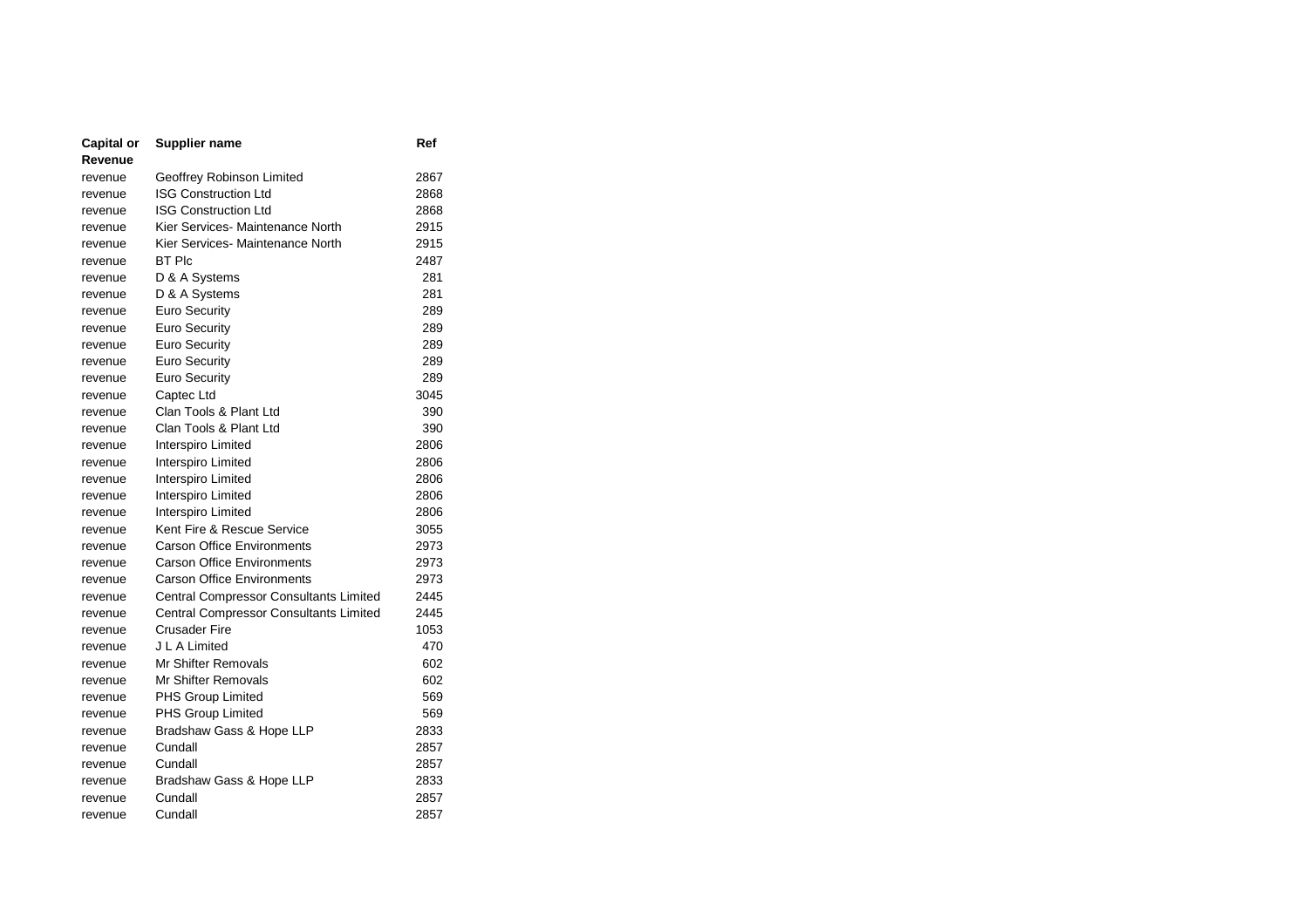| <b>Capital or</b> | <b>Supplier name</b>                          | Ref  |
|-------------------|-----------------------------------------------|------|
| Revenue           |                                               |      |
| revenue           | Geoffrey Robinson Limited                     | 2867 |
| revenue           | <b>ISG Construction Ltd</b>                   | 2868 |
| revenue           | <b>ISG Construction Ltd</b>                   | 2868 |
| revenue           | Kier Services- Maintenance North              | 2915 |
| revenue           | Kier Services- Maintenance North              | 2915 |
| revenue           | <b>BT PIC</b>                                 | 2487 |
| revenue           | D & A Systems                                 | 281  |
| revenue           | D & A Systems                                 | 281  |
| revenue           | <b>Euro Security</b>                          | 289  |
| revenue           | <b>Euro Security</b>                          | 289  |
| revenue           | Euro Security                                 | 289  |
| revenue           | <b>Euro Security</b>                          | 289  |
| revenue           | Euro Security                                 | 289  |
| revenue           | Captec Ltd                                    | 3045 |
| revenue           | Clan Tools & Plant Ltd                        | 390  |
| revenue           | Clan Tools & Plant Ltd                        | 390  |
| revenue           | Interspiro Limited                            | 2806 |
| revenue           | Interspiro Limited                            | 2806 |
| revenue           | Interspiro Limited                            | 2806 |
| revenue           | Interspiro Limited                            | 2806 |
| revenue           | Interspiro Limited                            | 2806 |
| revenue           | Kent Fire & Rescue Service                    | 3055 |
| revenue           | <b>Carson Office Environments</b>             | 2973 |
| revenue           | <b>Carson Office Environments</b>             | 2973 |
| revenue           | <b>Carson Office Environments</b>             | 2973 |
| revenue           | <b>Central Compressor Consultants Limited</b> | 2445 |
| revenue           | Central Compressor Consultants Limited        | 2445 |
| revenue           | <b>Crusader Fire</b>                          | 1053 |
| revenue           | J L A Limited                                 | 470  |
| revenue           | Mr Shifter Removals                           | 602  |
| revenue           | Mr Shifter Removals                           | 602  |
| revenue           | PHS Group Limited                             | 569  |
| revenue           | PHS Group Limited                             | 569  |
| revenue           | Bradshaw Gass & Hope LLP                      | 2833 |
| revenue           | Cundall                                       | 2857 |
| revenue           | Cundall                                       | 2857 |
| revenue           | Bradshaw Gass & Hope LLP                      | 2833 |
| revenue           | Cundall                                       | 2857 |
| revenue           | Cundall                                       | 2857 |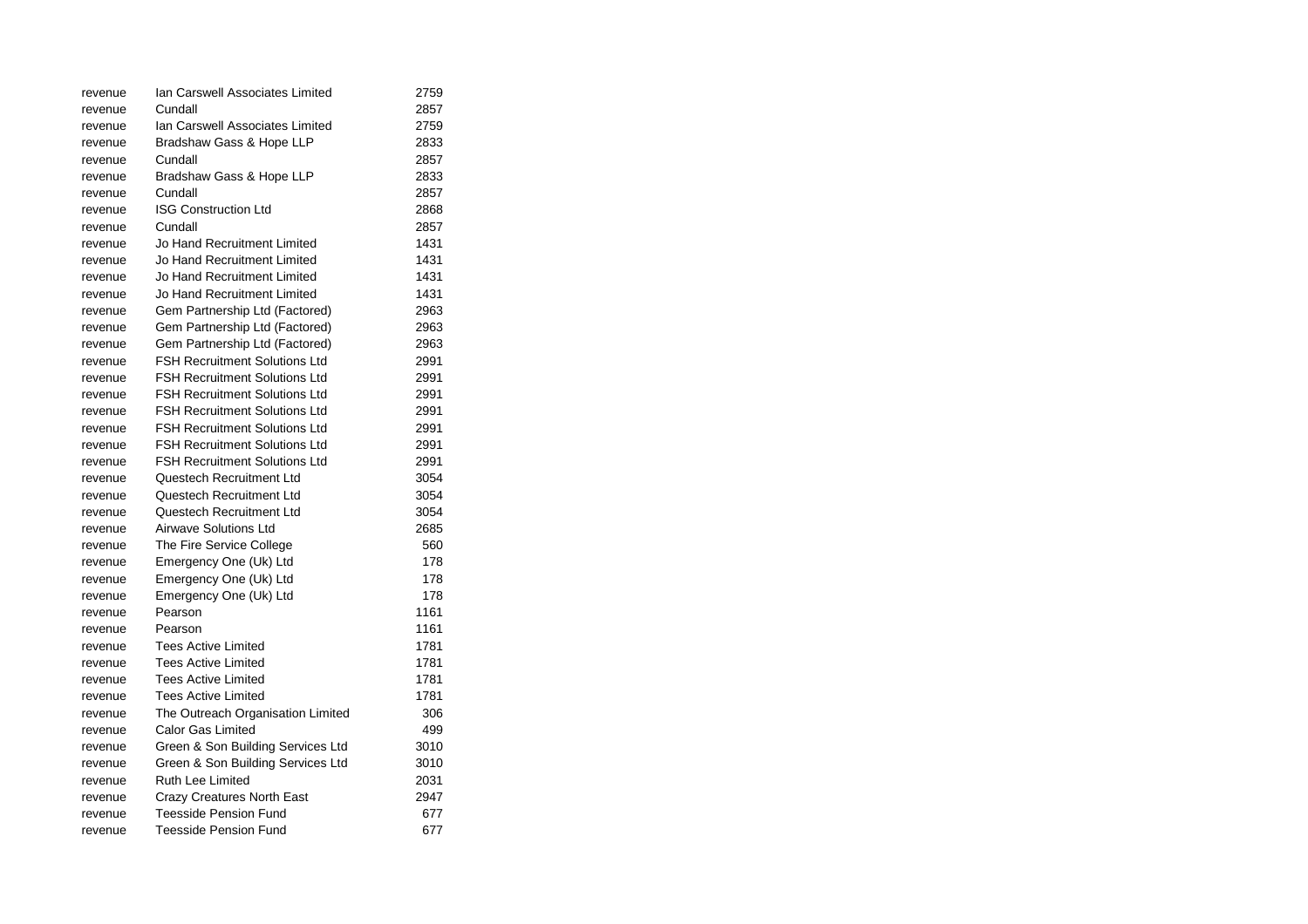| revenue | Ian Carswell Associates Limited      | 2759 |
|---------|--------------------------------------|------|
| revenue | Cundall                              | 2857 |
| revenue | Ian Carswell Associates Limited      | 2759 |
| revenue | Bradshaw Gass & Hope LLP             | 2833 |
| revenue | Cundall                              | 2857 |
| revenue | Bradshaw Gass & Hope LLP             | 2833 |
| revenue | Cundall                              | 2857 |
| revenue | <b>ISG Construction Ltd</b>          | 2868 |
| revenue | Cundall                              | 2857 |
| revenue | Jo Hand Recruitment Limited          | 1431 |
| revenue | Jo Hand Recruitment Limited          | 1431 |
| revenue | Jo Hand Recruitment Limited          | 1431 |
| revenue | Jo Hand Recruitment Limited          | 1431 |
| revenue | Gem Partnership Ltd (Factored)       | 2963 |
| revenue | Gem Partnership Ltd (Factored)       | 2963 |
| revenue | Gem Partnership Ltd (Factored)       | 2963 |
| revenue | <b>FSH Recruitment Solutions Ltd</b> | 2991 |
| revenue | <b>FSH Recruitment Solutions Ltd</b> | 2991 |
| revenue | <b>FSH Recruitment Solutions Ltd</b> | 2991 |
| revenue | <b>FSH Recruitment Solutions Ltd</b> | 2991 |
| revenue | <b>FSH Recruitment Solutions Ltd</b> | 2991 |
| revenue | <b>FSH Recruitment Solutions Ltd</b> | 2991 |
| revenue | <b>FSH Recruitment Solutions Ltd</b> | 2991 |
| revenue | Questech Recruitment Ltd             | 3054 |
| revenue | Questech Recruitment Ltd             | 3054 |
| revenue | Questech Recruitment Ltd             | 3054 |
| revenue | <b>Airwave Solutions Ltd</b>         | 2685 |
| revenue | The Fire Service College             | 560  |
| revenue | Emergency One (Uk) Ltd               | 178  |
| revenue | Emergency One (Uk) Ltd               | 178  |
| revenue | Emergency One (Uk) Ltd               | 178  |
| revenue | Pearson                              | 1161 |
| revenue | Pearson                              | 1161 |
| revenue | <b>Tees Active Limited</b>           | 1781 |
| revenue | <b>Tees Active Limited</b>           | 1781 |
| revenue | Tees Active Limited                  | 1781 |
| revenue | <b>Tees Active Limited</b>           | 1781 |
| revenue | The Outreach Organisation Limited    | 306  |
| revenue | <b>Calor Gas Limited</b>             | 499  |
| revenue | Green & Son Building Services Ltd    | 3010 |
| revenue | Green & Son Building Services Ltd    | 3010 |
| revenue | Ruth Lee Limited                     | 2031 |
| revenue | Crazy Creatures North East           | 2947 |
| revenue | <b>Teesside Pension Fund</b>         | 677  |
| revenue | Teesside Pension Fund                | 677  |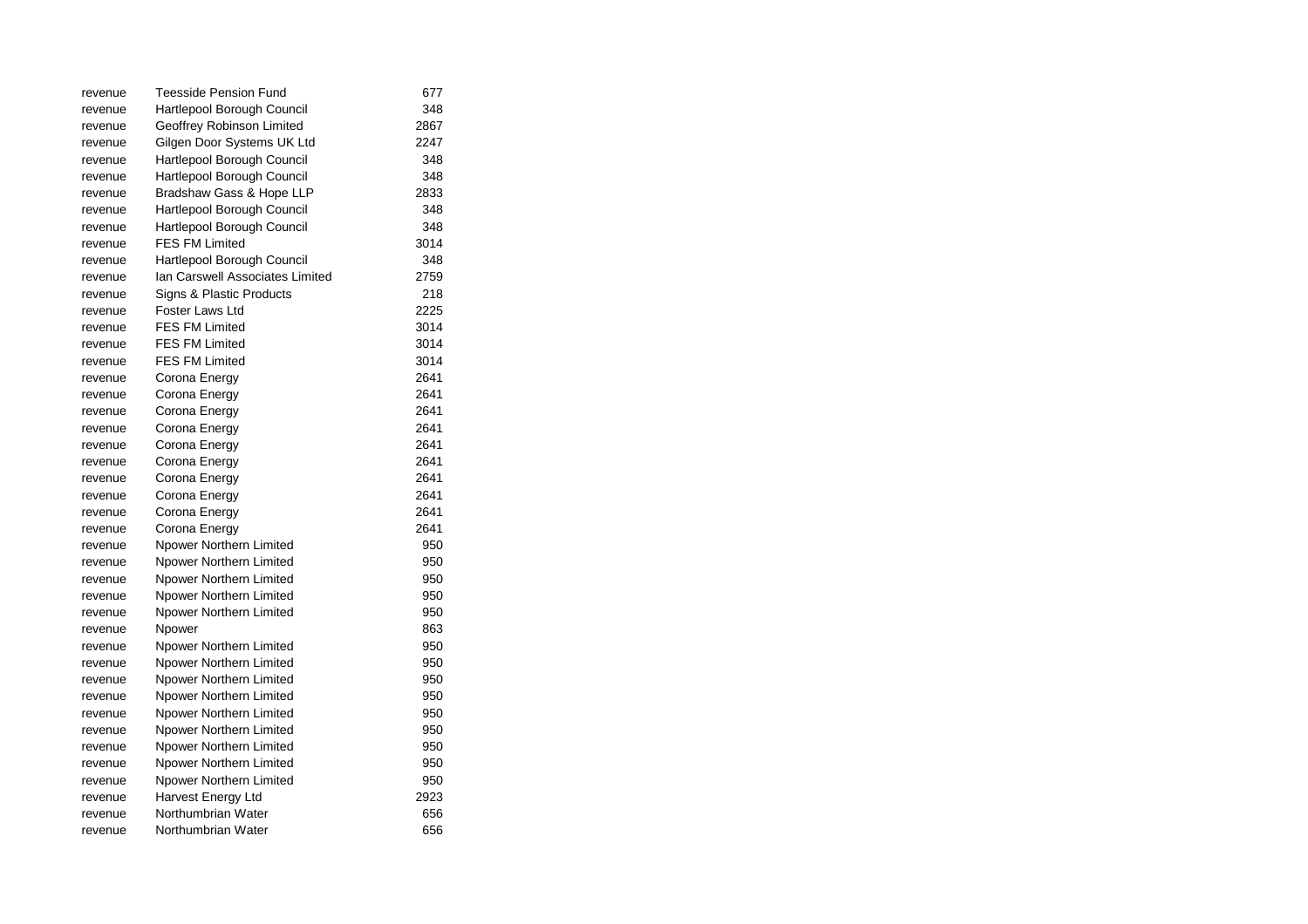| revenue | Teesside Pension Fund           | 677  |
|---------|---------------------------------|------|
| revenue | Hartlepool Borough Council      | 348  |
| revenue | Geoffrey Robinson Limited       | 2867 |
| revenue | Gilgen Door Systems UK Ltd      | 2247 |
| revenue | Hartlepool Borough Council      | 348  |
| revenue | Hartlepool Borough Council      | 348  |
| revenue | Bradshaw Gass & Hope LLP        | 2833 |
| revenue | Hartlepool Borough Council      | 348  |
| revenue | Hartlepool Borough Council      | 348  |
| revenue | <b>FES FM Limited</b>           | 3014 |
| revenue | Hartlepool Borough Council      | 348  |
| revenue | Ian Carswell Associates Limited | 2759 |
| revenue | Signs & Plastic Products        | 218  |
| revenue | Foster Laws Ltd                 | 2225 |
| revenue | <b>FES FM Limited</b>           | 3014 |
| revenue | <b>FES FM Limited</b>           | 3014 |
| revenue | <b>FES FM Limited</b>           | 3014 |
| revenue | Corona Energy                   | 2641 |
| revenue | Corona Energy                   | 2641 |
| revenue | Corona Energy                   | 2641 |
| revenue | Corona Energy                   | 2641 |
| revenue | Corona Energy                   | 2641 |
| revenue | Corona Energy                   | 2641 |
| revenue | Corona Energy                   | 2641 |
| revenue | Corona Energy                   | 2641 |
| revenue | Corona Energy                   | 2641 |
| revenue | Corona Energy                   | 2641 |
| revenue | Npower Northern Limited         | 950  |
| revenue | Npower Northern Limited         | 950  |
| revenue | Npower Northern Limited         | 950  |
| revenue | Npower Northern Limited         | 950  |
| revenue | Npower Northern Limited         | 950  |
| revenue | Npower                          | 863  |
| revenue | Npower Northern Limited         | 950  |
| revenue | Npower Northern Limited         | 950  |
| revenue | Npower Northern Limited         | 950  |
| revenue | Npower Northern Limited         | 950  |
| revenue | Npower Northern Limited         | 950  |
| revenue | Npower Northern Limited         | 950  |
| revenue | Npower Northern Limited         | 950  |
| revenue | Npower Northern Limited         | 950  |
| revenue | Npower Northern Limited         | 950  |
| revenue | Harvest Energy Ltd              | 2923 |
| revenue | Northumbrian Water              | 656  |
| revenue | Northumbrian Water              | 656  |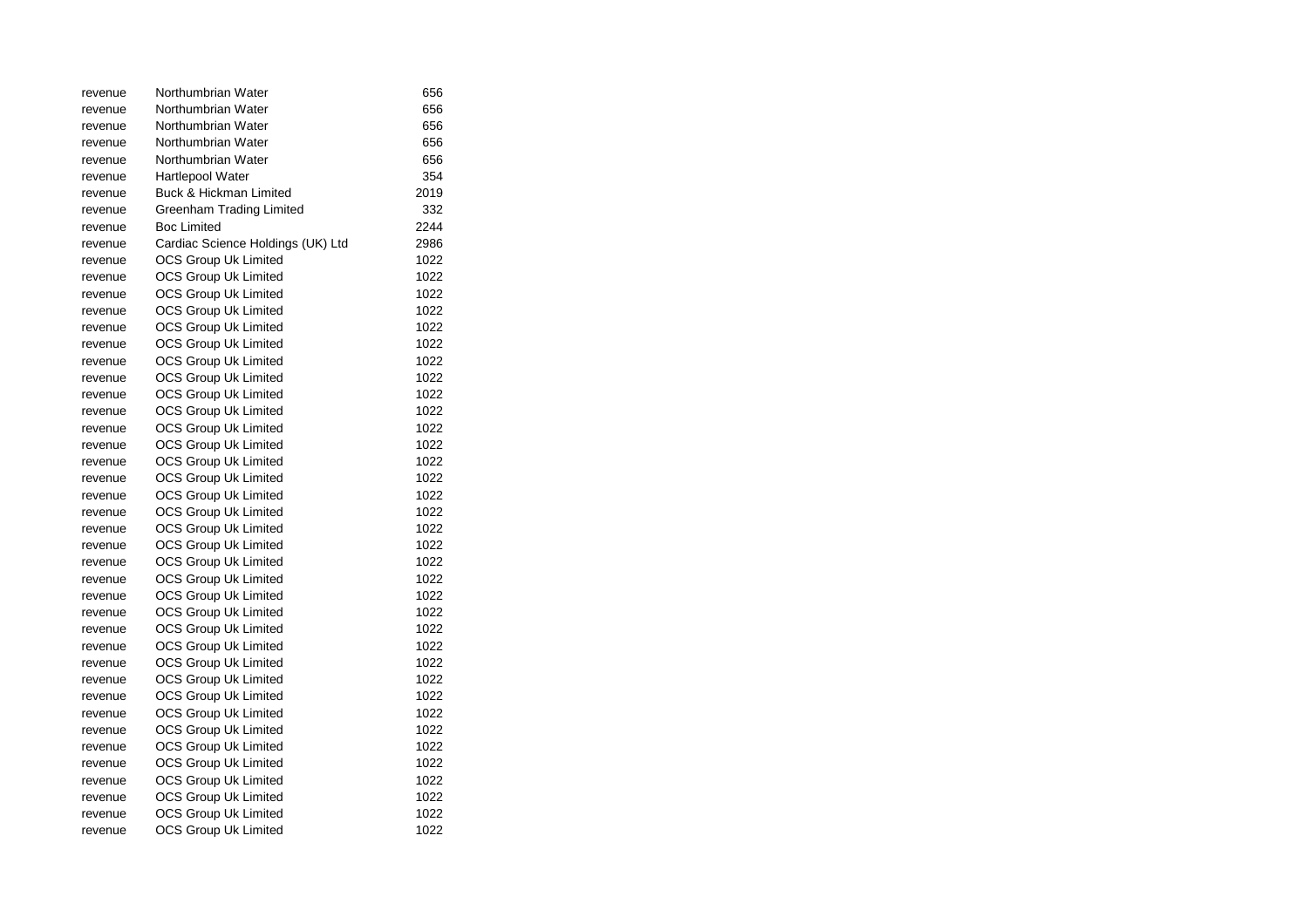| revenue | Northumbrian Water                | 656  |
|---------|-----------------------------------|------|
| revenue | Northumbrian Water                | 656  |
| revenue | Northumbrian Water                | 656  |
| revenue | Northumbrian Water                | 656  |
| revenue | Northumbrian Water                | 656  |
| revenue | <b>Hartlepool Water</b>           | 354  |
| revenue | Buck & Hickman Limited            | 2019 |
| revenue | Greenham Trading Limited          | 332  |
| revenue | <b>Boc Limited</b>                | 2244 |
| revenue | Cardiac Science Holdings (UK) Ltd | 2986 |
| revenue | <b>OCS Group Uk Limited</b>       | 1022 |
| revenue | <b>OCS Group Uk Limited</b>       | 1022 |
| revenue | <b>OCS Group Uk Limited</b>       | 1022 |
| revenue | OCS Group Uk Limited              | 1022 |
| revenue | OCS Group Uk Limited              | 1022 |
| revenue | <b>OCS Group Uk Limited</b>       | 1022 |
| revenue | <b>OCS Group Uk Limited</b>       | 1022 |
| revenue | OCS Group Uk Limited              | 1022 |
| revenue | <b>OCS Group Uk Limited</b>       | 1022 |
| revenue | <b>OCS Group Uk Limited</b>       | 1022 |
| revenue | <b>OCS Group Uk Limited</b>       | 1022 |
| revenue | <b>OCS Group Uk Limited</b>       | 1022 |
| revenue | OCS Group Uk Limited              | 1022 |
| revenue | OCS Group Uk Limited              | 1022 |
| revenue | <b>OCS Group Uk Limited</b>       | 1022 |
| revenue | <b>OCS Group Uk Limited</b>       | 1022 |
| revenue | <b>OCS Group Uk Limited</b>       | 1022 |
| revenue | <b>OCS Group Uk Limited</b>       | 1022 |
| revenue | <b>OCS Group Uk Limited</b>       | 1022 |
| revenue | OCS Group Uk Limited              | 1022 |
| revenue | <b>OCS Group Uk Limited</b>       | 1022 |
| revenue | <b>OCS Group Uk Limited</b>       | 1022 |
| revenue | OCS Group Uk Limited              | 1022 |
| revenue | <b>OCS Group Uk Limited</b>       | 1022 |
| revenue | <b>OCS Group Uk Limited</b>       | 1022 |
| revenue | <b>OCS Group Uk Limited</b>       | 1022 |
| revenue | <b>OCS Group Uk Limited</b>       | 1022 |
| revenue | <b>OCS Group Uk Limited</b>       | 1022 |
| revenue | OCS Group Uk Limited              | 1022 |
| revenue | <b>OCS Group Uk Limited</b>       | 1022 |
| revenue | <b>OCS Group Uk Limited</b>       | 1022 |
| revenue | <b>OCS Group Uk Limited</b>       | 1022 |
| revenue | OCS Group Uk Limited              | 1022 |
| revenue | <b>OCS Group Uk Limited</b>       | 1022 |
| revenue | OCS Group Uk Limited              | 1022 |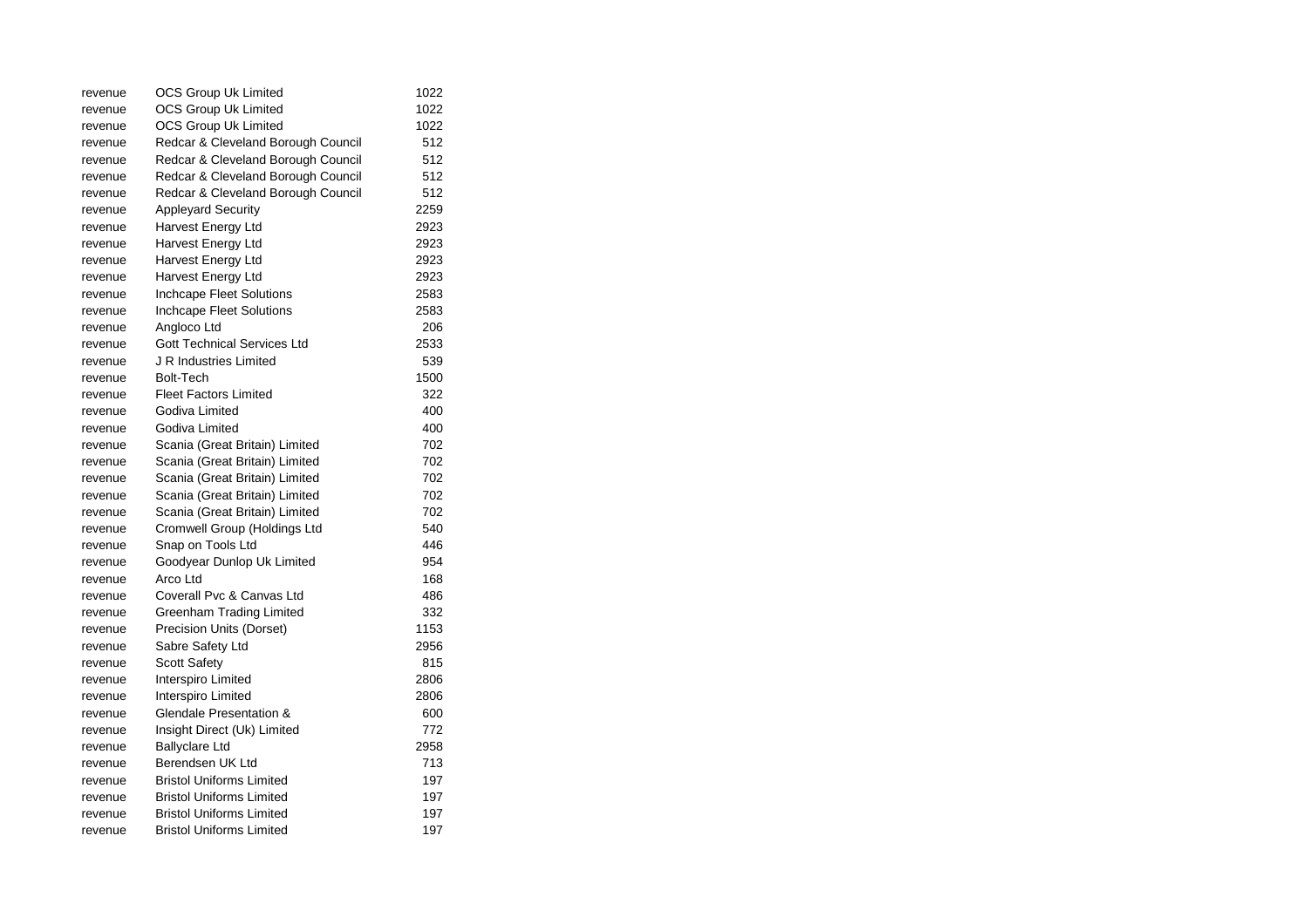| revenue | OCS Group Uk Limited               | 1022 |
|---------|------------------------------------|------|
| revenue | OCS Group Uk Limited               | 1022 |
| revenue | OCS Group Uk Limited               | 1022 |
| revenue | Redcar & Cleveland Borough Council | 512  |
| revenue | Redcar & Cleveland Borough Council | 512  |
| revenue | Redcar & Cleveland Borough Council | 512  |
| revenue | Redcar & Cleveland Borough Council | 512  |
| revenue | <b>Appleyard Security</b>          | 2259 |
| revenue | Harvest Energy Ltd                 | 2923 |
| revenue | Harvest Energy Ltd                 | 2923 |
| revenue | Harvest Energy Ltd                 | 2923 |
| revenue | Harvest Energy Ltd                 | 2923 |
| revenue | Inchcape Fleet Solutions           | 2583 |
| revenue | Inchcape Fleet Solutions           | 2583 |
| revenue | Angloco Ltd                        | 206  |
| revenue | <b>Gott Technical Services Ltd</b> | 2533 |
| revenue | J R Industries Limited             | 539  |
| revenue | <b>Bolt-Tech</b>                   | 1500 |
| revenue | <b>Fleet Factors Limited</b>       | 322  |
| revenue | Godiva Limited                     | 400  |
| revenue | Godiva Limited                     | 400  |
| revenue | Scania (Great Britain) Limited     | 702  |
| revenue | Scania (Great Britain) Limited     | 702  |
| revenue | Scania (Great Britain) Limited     | 702  |
| revenue | Scania (Great Britain) Limited     | 702  |
| revenue | Scania (Great Britain) Limited     | 702  |
| revenue | Cromwell Group (Holdings Ltd       | 540  |
| revenue | Snap on Tools Ltd                  | 446  |
| revenue | Goodyear Dunlop Uk Limited         | 954  |
| revenue | Arco Ltd                           | 168  |
| revenue | Coverall Pvc & Canvas Ltd          | 486  |
| revenue | Greenham Trading Limited           | 332  |
| revenue | Precision Units (Dorset)           | 1153 |
| revenue | Sabre Safety Ltd                   | 2956 |
| revenue | <b>Scott Safety</b>                | 815  |
| revenue | Interspiro Limited                 | 2806 |
| revenue | Interspiro Limited                 | 2806 |
| revenue | Glendale Presentation &            | 600  |
| revenue | Insight Direct (Uk) Limited        | 772  |
| revenue | <b>Ballyclare Ltd</b>              | 2958 |
| revenue | Berendsen UK Ltd                   | 713  |
| revenue | <b>Bristol Uniforms Limited</b>    | 197  |
| revenue | <b>Bristol Uniforms Limited</b>    | 197  |
| revenue | <b>Bristol Uniforms Limited</b>    | 197  |
| revenue | <b>Bristol Uniforms Limited</b>    | 197  |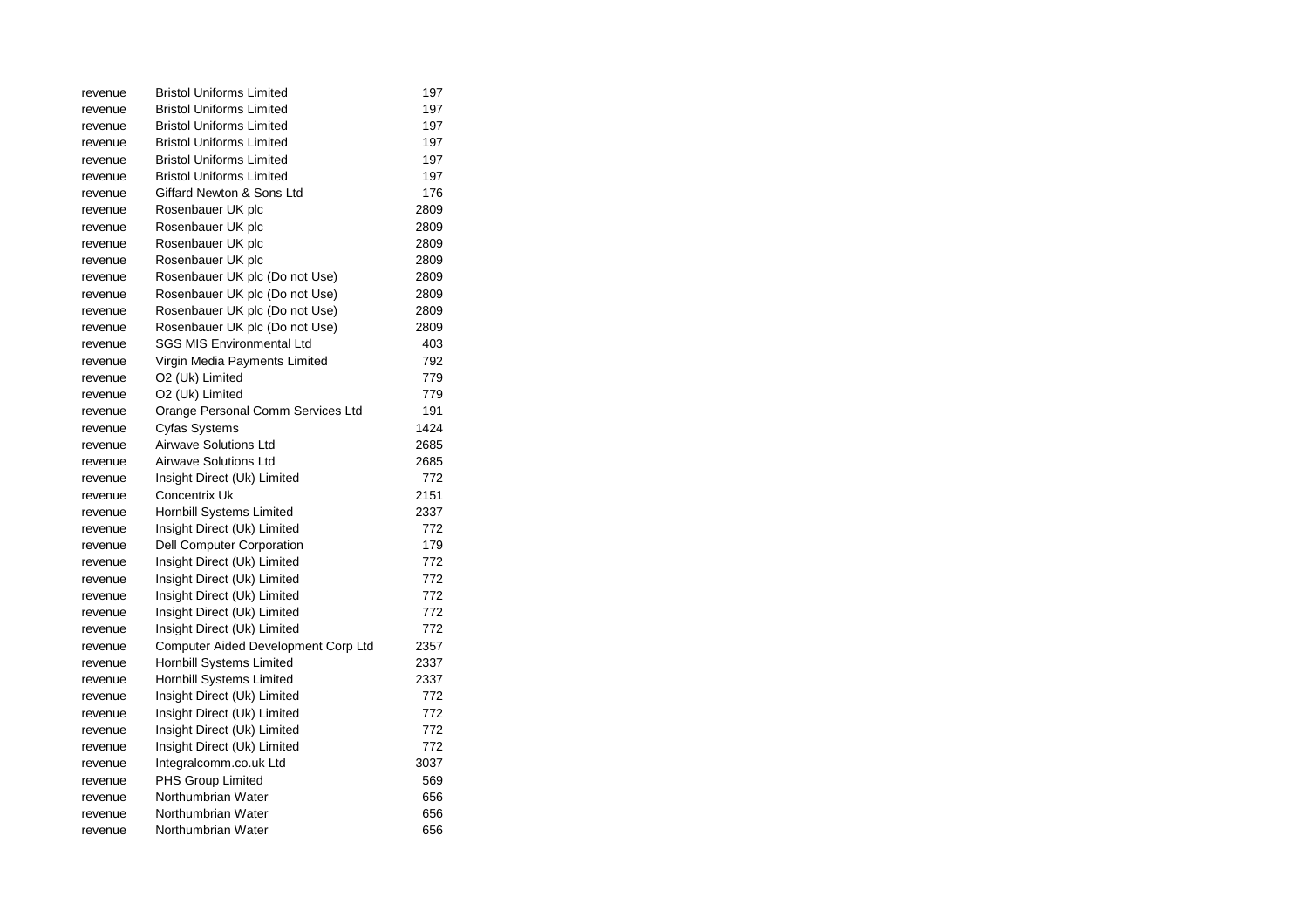| revenue | <b>Bristol Uniforms Limited</b>     | 197  |
|---------|-------------------------------------|------|
| revenue | <b>Bristol Uniforms Limited</b>     | 197  |
| revenue | <b>Bristol Uniforms Limited</b>     | 197  |
| revenue | <b>Bristol Uniforms Limited</b>     | 197  |
| revenue | <b>Bristol Uniforms Limited</b>     | 197  |
| revenue | <b>Bristol Uniforms Limited</b>     | 197  |
| revenue | Giffard Newton & Sons Ltd           | 176  |
| revenue | Rosenbauer UK plc                   | 2809 |
| revenue | Rosenbauer UK plc                   | 2809 |
| revenue | Rosenbauer UK plc                   | 2809 |
| revenue | Rosenbauer UK plc                   | 2809 |
| revenue | Rosenbauer UK plc (Do not Use)      | 2809 |
| revenue | Rosenbauer UK plc (Do not Use)      | 2809 |
| revenue | Rosenbauer UK plc (Do not Use)      | 2809 |
| revenue | Rosenbauer UK plc (Do not Use)      | 2809 |
| revenue | <b>SGS MIS Environmental Ltd</b>    | 403  |
| revenue | Virgin Media Payments Limited       | 792  |
| revenue | O2 (Uk) Limited                     | 779  |
| revenue | O2 (Uk) Limited                     | 779  |
| revenue | Orange Personal Comm Services Ltd   | 191  |
| revenue | Cyfas Systems                       | 1424 |
| revenue | Airwave Solutions Ltd               | 2685 |
| revenue | <b>Airwave Solutions Ltd</b>        | 2685 |
| revenue | Insight Direct (Uk) Limited         | 772  |
| revenue | <b>Concentrix Uk</b>                | 2151 |
| revenue | Hornbill Systems Limited            | 2337 |
| revenue | Insight Direct (Uk) Limited         | 772  |
| revenue | Dell Computer Corporation           | 179  |
| revenue | Insight Direct (Uk) Limited         | 772  |
| revenue | Insight Direct (Uk) Limited         | 772  |
| revenue | Insight Direct (Uk) Limited         | 772  |
| revenue | Insight Direct (Uk) Limited         | 772  |
| revenue | Insight Direct (Uk) Limited         | 772  |
| revenue | Computer Aided Development Corp Ltd | 2357 |
| revenue | Hornbill Systems Limited            | 2337 |
| revenue | Hornbill Systems Limited            | 2337 |
| revenue | Insight Direct (Uk) Limited         | 772  |
| revenue | Insight Direct (Uk) Limited         | 772  |
| revenue | Insight Direct (Uk) Limited         | 772  |
| revenue | Insight Direct (Uk) Limited         | 772  |
| revenue | Integralcomm.co.uk Ltd              | 3037 |
| revenue | <b>PHS Group Limited</b>            | 569  |
| revenue | Northumbrian Water                  | 656  |
| revenue | Northumbrian Water                  | 656  |
| revenue | Northumbrian Water                  | 656  |